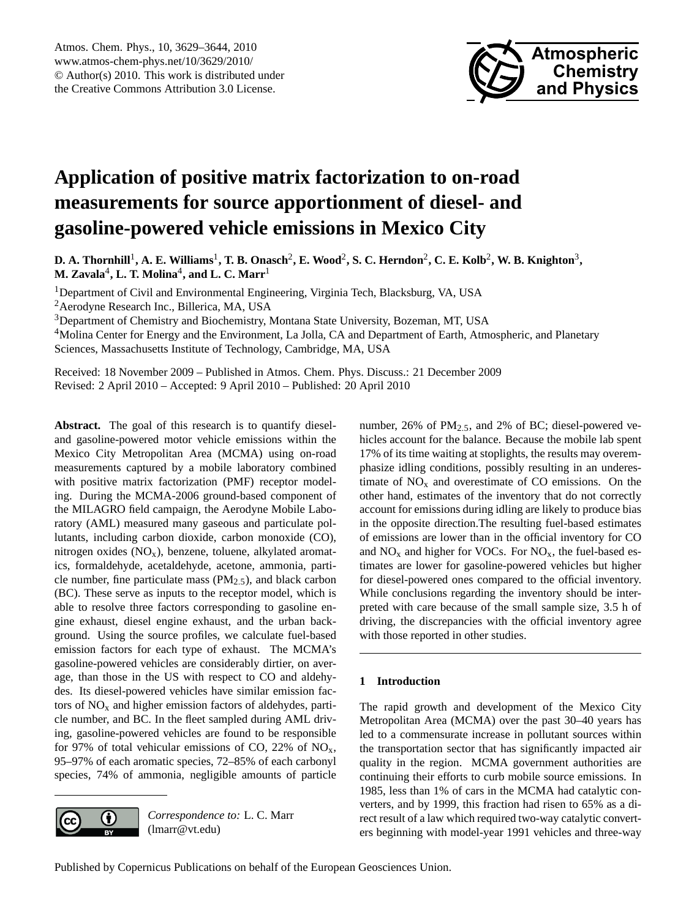

# <span id="page-0-0"></span>**Application of positive matrix factorization to on-road measurements for source apportionment of diesel- and gasoline-powered vehicle emissions in Mexico City**

 ${\bf D.~A.~Thornhill}^1, {\bf A.~E.~Williams}^1, {\bf T.~B.~Onasch}^2, {\bf E.~Wood}^2, {\bf S.~C.~Herndon}^2, {\bf C.~E.~Kolb}^2, {\bf W.~B.~Knighton}^3,$ **M. Zavala**<sup>4</sup> **, L. T. Molina**<sup>4</sup> **, and L. C. Marr**<sup>1</sup>

<sup>1</sup>Department of Civil and Environmental Engineering, Virginia Tech, Blacksburg, VA, USA

<sup>2</sup>Aerodyne Research Inc., Billerica, MA, USA

<sup>3</sup>Department of Chemistry and Biochemistry, Montana State University, Bozeman, MT, USA

<sup>4</sup>Molina Center for Energy and the Environment, La Jolla, CA and Department of Earth, Atmospheric, and Planetary Sciences, Massachusetts Institute of Technology, Cambridge, MA, USA

Received: 18 November 2009 – Published in Atmos. Chem. Phys. Discuss.: 21 December 2009 Revised: 2 April 2010 – Accepted: 9 April 2010 – Published: 20 April 2010

**Abstract.** The goal of this research is to quantify dieseland gasoline-powered motor vehicle emissions within the Mexico City Metropolitan Area (MCMA) using on-road measurements captured by a mobile laboratory combined with positive matrix factorization (PMF) receptor modeling. During the MCMA-2006 ground-based component of the MILAGRO field campaign, the Aerodyne Mobile Laboratory (AML) measured many gaseous and particulate pollutants, including carbon dioxide, carbon monoxide (CO), nitrogen oxides (NO<sub>x</sub>), benzene, toluene, alkylated aromatics, formaldehyde, acetaldehyde, acetone, ammonia, particle number, fine particulate mass  $(PM_{2.5})$ , and black carbon (BC). These serve as inputs to the receptor model, which is able to resolve three factors corresponding to gasoline engine exhaust, diesel engine exhaust, and the urban background. Using the source profiles, we calculate fuel-based emission factors for each type of exhaust. The MCMA's gasoline-powered vehicles are considerably dirtier, on average, than those in the US with respect to CO and aldehydes. Its diesel-powered vehicles have similar emission factors of  $NO<sub>x</sub>$  and higher emission factors of aldehydes, particle number, and BC. In the fleet sampled during AML driving, gasoline-powered vehicles are found to be responsible for 97% of total vehicular emissions of CO, 22% of  $NO<sub>x</sub>$ , 95–97% of each aromatic species, 72–85% of each carbonyl species, 74% of ammonia, negligible amounts of particle



*Correspondence to:* L. C. Marr (lmarr@vt.edu)

number,  $26\%$  of PM<sub>2.5</sub>, and 2% of BC; diesel-powered vehicles account for the balance. Because the mobile lab spent 17% of its time waiting at stoplights, the results may overemphasize idling conditions, possibly resulting in an underestimate of  $NO<sub>x</sub>$  and overestimate of CO emissions. On the other hand, estimates of the inventory that do not correctly account for emissions during idling are likely to produce bias in the opposite direction.The resulting fuel-based estimates of emissions are lower than in the official inventory for CO and  $NO<sub>x</sub>$  and higher for VOCs. For  $NO<sub>x</sub>$ , the fuel-based estimates are lower for gasoline-powered vehicles but higher for diesel-powered ones compared to the official inventory. While conclusions regarding the inventory should be interpreted with care because of the small sample size, 3.5 h of driving, the discrepancies with the official inventory agree with those reported in other studies.

## **1 Introduction**

The rapid growth and development of the Mexico City Metropolitan Area (MCMA) over the past 30–40 years has led to a commensurate increase in pollutant sources within the transportation sector that has significantly impacted air quality in the region. MCMA government authorities are continuing their efforts to curb mobile source emissions. In 1985, less than 1% of cars in the MCMA had catalytic converters, and by 1999, this fraction had risen to 65% as a direct result of a law which required two-way catalytic converters beginning with model-year 1991 vehicles and three-way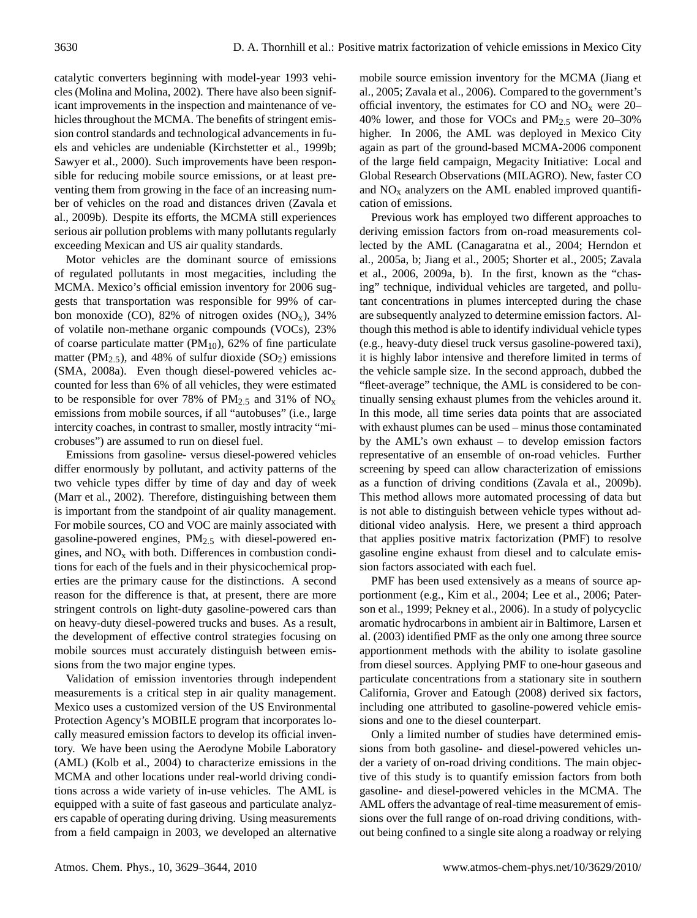catalytic converters beginning with model-year 1993 vehicles (Molina and Molina, 2002). There have also been significant improvements in the inspection and maintenance of vehicles throughout the MCMA. The benefits of stringent emission control standards and technological advancements in fuels and vehicles are undeniable (Kirchstetter et al., 1999b; Sawyer et al., 2000). Such improvements have been responsible for reducing mobile source emissions, or at least preventing them from growing in the face of an increasing number of vehicles on the road and distances driven (Zavala et al., 2009b). Despite its efforts, the MCMA still experiences serious air pollution problems with many pollutants regularly exceeding Mexican and US air quality standards.

Motor vehicles are the dominant source of emissions of regulated pollutants in most megacities, including the MCMA. Mexico's official emission inventory for 2006 suggests that transportation was responsible for 99% of carbon monoxide (CO), 82% of nitrogen oxides  $(NO_x)$ , 34% of volatile non-methane organic compounds (VOCs), 23% of coarse particulate matter ( $PM_{10}$ ), 62% of fine particulate matter (PM<sub>2.5</sub>), and 48% of sulfur dioxide (SO<sub>2</sub>) emissions (SMA, 2008a). Even though diesel-powered vehicles accounted for less than 6% of all vehicles, they were estimated to be responsible for over 78% of  $PM_{2.5}$  and 31% of  $NO_x$ emissions from mobile sources, if all "autobuses" (i.e., large intercity coaches, in contrast to smaller, mostly intracity "microbuses") are assumed to run on diesel fuel.

Emissions from gasoline- versus diesel-powered vehicles differ enormously by pollutant, and activity patterns of the two vehicle types differ by time of day and day of week (Marr et al., 2002). Therefore, distinguishing between them is important from the standpoint of air quality management. For mobile sources, CO and VOC are mainly associated with gasoline-powered engines, PM2.<sup>5</sup> with diesel-powered engines, and  $NO<sub>x</sub>$  with both. Differences in combustion conditions for each of the fuels and in their physicochemical properties are the primary cause for the distinctions. A second reason for the difference is that, at present, there are more stringent controls on light-duty gasoline-powered cars than on heavy-duty diesel-powered trucks and buses. As a result, the development of effective control strategies focusing on mobile sources must accurately distinguish between emissions from the two major engine types.

Validation of emission inventories through independent measurements is a critical step in air quality management. Mexico uses a customized version of the US Environmental Protection Agency's MOBILE program that incorporates locally measured emission factors to develop its official inventory. We have been using the Aerodyne Mobile Laboratory (AML) (Kolb et al., 2004) to characterize emissions in the MCMA and other locations under real-world driving conditions across a wide variety of in-use vehicles. The AML is equipped with a suite of fast gaseous and particulate analyzers capable of operating during driving. Using measurements from a field campaign in 2003, we developed an alternative mobile source emission inventory for the MCMA (Jiang et al., 2005; Zavala et al., 2006). Compared to the government's official inventory, the estimates for CO and  $NO<sub>x</sub>$  were 20– 40% lower, and those for VOCs and  $PM_{2.5}$  were 20–30% higher. In 2006, the AML was deployed in Mexico City again as part of the ground-based MCMA-2006 component of the large field campaign, Megacity Initiative: Local and Global Research Observations (MILAGRO). New, faster CO and  $NO<sub>x</sub>$  analyzers on the AML enabled improved quantification of emissions.

Previous work has employed two different approaches to deriving emission factors from on-road measurements collected by the AML (Canagaratna et al., 2004; Herndon et al., 2005a, b; Jiang et al., 2005; Shorter et al., 2005; Zavala et al., 2006, 2009a, b). In the first, known as the "chasing" technique, individual vehicles are targeted, and pollutant concentrations in plumes intercepted during the chase are subsequently analyzed to determine emission factors. Although this method is able to identify individual vehicle types (e.g., heavy-duty diesel truck versus gasoline-powered taxi), it is highly labor intensive and therefore limited in terms of the vehicle sample size. In the second approach, dubbed the "fleet-average" technique, the AML is considered to be continually sensing exhaust plumes from the vehicles around it. In this mode, all time series data points that are associated with exhaust plumes can be used – minus those contaminated by the AML's own exhaust – to develop emission factors representative of an ensemble of on-road vehicles. Further screening by speed can allow characterization of emissions as a function of driving conditions (Zavala et al., 2009b). This method allows more automated processing of data but is not able to distinguish between vehicle types without additional video analysis. Here, we present a third approach that applies positive matrix factorization (PMF) to resolve gasoline engine exhaust from diesel and to calculate emission factors associated with each fuel.

PMF has been used extensively as a means of source apportionment (e.g., Kim et al., 2004; Lee et al., 2006; Paterson et al., 1999; Pekney et al., 2006). In a study of polycyclic aromatic hydrocarbons in ambient air in Baltimore, Larsen et al. (2003) identified PMF as the only one among three source apportionment methods with the ability to isolate gasoline from diesel sources. Applying PMF to one-hour gaseous and particulate concentrations from a stationary site in southern California, Grover and Eatough (2008) derived six factors, including one attributed to gasoline-powered vehicle emissions and one to the diesel counterpart.

Only a limited number of studies have determined emissions from both gasoline- and diesel-powered vehicles under a variety of on-road driving conditions. The main objective of this study is to quantify emission factors from both gasoline- and diesel-powered vehicles in the MCMA. The AML offers the advantage of real-time measurement of emissions over the full range of on-road driving conditions, without being confined to a single site along a roadway or relying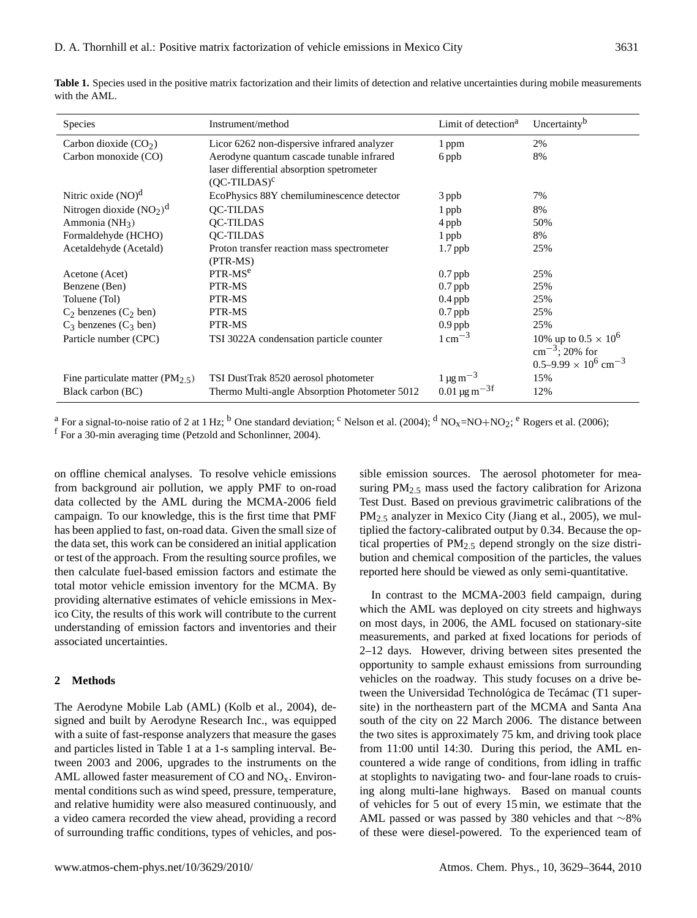| <b>Species</b>                       | Instrument/method                             | Limit of detection <sup>a</sup>  | Uncertainty <sup>b</sup>                  |
|--------------------------------------|-----------------------------------------------|----------------------------------|-------------------------------------------|
| Carbon dioxide $(CO2)$               | Licor 6262 non-dispersive infrared analyzer   | 1 ppm                            | 2%                                        |
| Carbon monoxide (CO)                 | Aerodyne quantum cascade tunable infrared     | 6 ppb                            | 8%                                        |
|                                      | laser differential absorption spetrometer     |                                  |                                           |
|                                      | $(OC-TILDAS)^c$                               |                                  |                                           |
| Nitric oxide $(NO)^d$                | EcoPhysics 88Y chemiluminescence detector     | 3 ppb                            | 7%                                        |
| Nitrogen dioxide $(NO2)d$            | <b>QC-TILDAS</b>                              | 1 ppb                            | 8%                                        |
| Ammonia ( $NH3$ )                    | <b>OC-TILDAS</b>                              | 4 ppb                            | 50%                                       |
| Formaldehyde (HCHO)                  | <b>OC-TILDAS</b>                              | 1 ppb                            | 8%                                        |
| Acetaldehyde (Acetald)               | Proton transfer reaction mass spectrometer    | $1.7$ ppb                        | 25%                                       |
|                                      | (PTR-MS)                                      |                                  |                                           |
| Acetone (Acet)                       | PTR-MS <sup>e</sup>                           | $0.7$ ppb                        | 25%                                       |
| Benzene (Ben)                        | PTR-MS                                        | $0.7$ ppb                        | 25%                                       |
| Toluene (Tol)                        | PTR-MS                                        | $0.4$ ppb                        | 25%                                       |
| $C_2$ benzenes $(C_2$ ben)           | PTR-MS                                        | $0.7$ ppb                        | 25%                                       |
| $C_3$ benzenes $(C_3$ ben)           | PTR-MS                                        | $0.9$ ppb                        | 25%                                       |
| Particle number (CPC)                | TSI 3022A condensation particle counter       | $1 \text{ cm}^{-3}$              | 10% up to 0.5 $\times$ 10 <sup>6</sup>    |
|                                      |                                               |                                  | $\text{cm}^{-3}$ ; 20% for                |
|                                      |                                               |                                  | $0.5 - 9.99 \times 10^6$ cm <sup>-3</sup> |
| Fine particulate matter $(PM_{2.5})$ | TSI DustTrak 8520 aerosol photometer          | $1 \,\mathrm{\mu g\,m}^{-3}$     | 15%                                       |
| Black carbon (BC)                    | Thermo Multi-angle Absorption Photometer 5012 | $0.01 \,\mathrm{\mu g\,m}^{-3f}$ | 12%                                       |

<span id="page-2-0"></span>Table 1. Species used in the positive matrix factorization and their limits of detection and relative uncertainties during mobile measurements with the AML.

<sup>a</sup> For a signal-to-noise ratio of 2 at 1 Hz; <sup>b</sup> One standard deviation; <sup>c</sup> Nelson et al. (2004); <sup>d</sup> NO<sub>x</sub>=NO+NO<sub>2</sub>; <sup>e</sup> Rogers et al. (2006); <sup>f</sup> For a 30-min averaging time (Petzold and Schonlinner, 2004).

on offline chemical analyses. To resolve vehicle emissions from background air pollution, we apply PMF to on-road data collected by the AML during the MCMA-2006 field campaign. To our knowledge, this is the first time that PMF has been applied to fast, on-road data. Given the small size of the data set, this work can be considered an initial application or test of the approach. From the resulting source profiles, we then calculate fuel-based emission factors and estimate the total motor vehicle emission inventory for the MCMA. By providing alternative estimates of vehicle emissions in Mexico City, the results of this work will contribute to the current understanding of emission factors and inventories and their associated uncertainties.

#### **2 Methods**

The Aerodyne Mobile Lab (AML) (Kolb et al., 2004), designed and built by Aerodyne Research Inc., was equipped with a suite of fast-response analyzers that measure the gases and particles listed in Table [1](#page-2-0) at a 1-s sampling interval. Between 2003 and 2006, upgrades to the instruments on the AML allowed faster measurement of  $CO$  and  $NO<sub>x</sub>$ . Environmental conditions such as wind speed, pressure, temperature, and relative humidity were also measured continuously, and a video camera recorded the view ahead, providing a record of surrounding traffic conditions, types of vehicles, and possible emission sources. The aerosol photometer for measuring  $PM<sub>2.5</sub>$  mass used the factory calibration for Arizona Test Dust. Based on previous gravimetric calibrations of the PM<sub>2.5</sub> analyzer in Mexico City (Jiang et al., 2005), we multiplied the factory-calibrated output by 0.34. Because the optical properties of PM2.<sup>5</sup> depend strongly on the size distribution and chemical composition of the particles, the values reported here should be viewed as only semi-quantitative.

In contrast to the MCMA-2003 field campaign, during which the AML was deployed on city streets and highways on most days, in 2006, the AML focused on stationary-site measurements, and parked at fixed locations for periods of 2–12 days. However, driving between sites presented the opportunity to sample exhaust emissions from surrounding vehicles on the roadway. This study focuses on a drive between the Universidad Technológica de Tecámac (T1 supersite) in the northeastern part of the MCMA and Santa Ana south of the city on 22 March 2006. The distance between the two sites is approximately 75 km, and driving took place from 11:00 until 14:30. During this period, the AML encountered a wide range of conditions, from idling in traffic at stoplights to navigating two- and four-lane roads to cruising along multi-lane highways. Based on manual counts of vehicles for 5 out of every 15 min, we estimate that the AML passed or was passed by 380 vehicles and that ∼8% of these were diesel-powered. To the experienced team of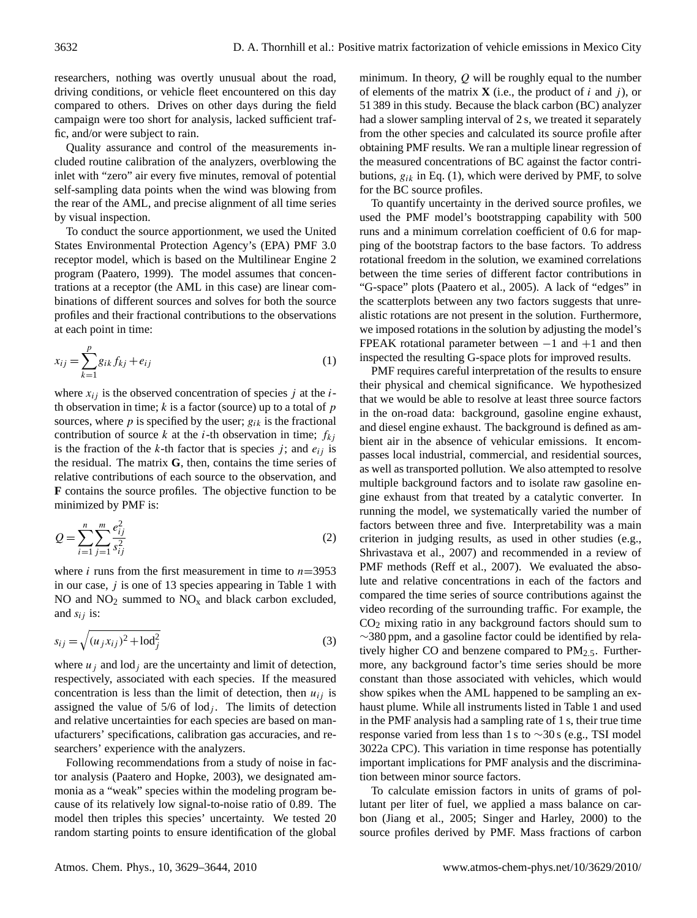researchers, nothing was overtly unusual about the road, driving conditions, or vehicle fleet encountered on this day compared to others. Drives on other days during the field campaign were too short for analysis, lacked sufficient traffic, and/or were subject to rain.

Quality assurance and control of the measurements included routine calibration of the analyzers, overblowing the inlet with "zero" air every five minutes, removal of potential self-sampling data points when the wind was blowing from the rear of the AML, and precise alignment of all time series by visual inspection.

To conduct the source apportionment, we used the United States Environmental Protection Agency's (EPA) PMF 3.0 receptor model, which is based on the Multilinear Engine 2 program (Paatero, 1999). The model assumes that concentrations at a receptor (the AML in this case) are linear combinations of different sources and solves for both the source profiles and their fractional contributions to the observations at each point in time:

$$
x_{ij} = \sum_{k=1}^{p} g_{ik} f_{kj} + e_{ij}
$$
 (1)

where  $x_{ij}$  is the observed concentration of species j at the *i*th observation in time;  $k$  is a factor (source) up to a total of  $p$ sources, where  $p$  is specified by the user;  $g_{ik}$  is the fractional contribution of source k at the *i*-th observation in time;  $f_{ki}$ is the fraction of the k-th factor that is species  $j$ ; and  $e_{ij}$  is the residual. The matrix **G**, then, contains the time series of relative contributions of each source to the observation, and **F** contains the source profiles. The objective function to be minimized by PMF is:

$$
Q = \sum_{i=1}^{n} \sum_{j=1}^{m} \frac{e_{ij}^2}{s_{ij}^2}
$$
 (2)

where *i* runs from the first measurement in time to  $n=3953$ in our case,  $j$  is one of [1](#page-2-0)3 species appearing in Table 1 with NO and  $NO<sub>2</sub>$  summed to  $NO<sub>x</sub>$  and black carbon excluded, and  $s_{ij}$  is:

$$
s_{ij} = \sqrt{(u_j x_{ij})^2 + \text{lod}_j^2}
$$
\n<sup>(3)</sup>

where  $u_j$  and lod<sub>j</sub> are the uncertainty and limit of detection, respectively, associated with each species. If the measured concentration is less than the limit of detection, then  $u_{ij}$  is assigned the value of  $5/6$  of lod<sub>j</sub>. The limits of detection and relative uncertainties for each species are based on manufacturers' specifications, calibration gas accuracies, and researchers' experience with the analyzers.

Following recommendations from a study of noise in factor analysis (Paatero and Hopke, 2003), we designated ammonia as a "weak" species within the modeling program because of its relatively low signal-to-noise ratio of 0.89. The model then triples this species' uncertainty. We tested 20 random starting points to ensure identification of the global minimum. In theory,  $Q$  will be roughly equal to the number of elements of the matrix  $\mathbf{X}$  (i.e., the product of i and j), or 51 389 in this study. Because the black carbon (BC) analyzer had a slower sampling interval of 2 s, we treated it separately from the other species and calculated its source profile after obtaining PMF results. We ran a multiple linear regression of the measured concentrations of BC against the factor contributions,  $g_{ik}$  in Eq. (1), which were derived by PMF, to solve for the BC source profiles.

To quantify uncertainty in the derived source profiles, we used the PMF model's bootstrapping capability with 500 runs and a minimum correlation coefficient of 0.6 for mapping of the bootstrap factors to the base factors. To address rotational freedom in the solution, we examined correlations between the time series of different factor contributions in "G-space" plots (Paatero et al., 2005). A lack of "edges" in the scatterplots between any two factors suggests that unrealistic rotations are not present in the solution. Furthermore, we imposed rotations in the solution by adjusting the model's FPEAK rotational parameter between  $-1$  and  $+1$  and then inspected the resulting G-space plots for improved results.

PMF requires careful interpretation of the results to ensure their physical and chemical significance. We hypothesized that we would be able to resolve at least three source factors in the on-road data: background, gasoline engine exhaust, and diesel engine exhaust. The background is defined as ambient air in the absence of vehicular emissions. It encompasses local industrial, commercial, and residential sources, as well as transported pollution. We also attempted to resolve multiple background factors and to isolate raw gasoline engine exhaust from that treated by a catalytic converter. In running the model, we systematically varied the number of factors between three and five. Interpretability was a main criterion in judging results, as used in other studies (e.g., Shrivastava et al., 2007) and recommended in a review of PMF methods (Reff et al., 2007). We evaluated the absolute and relative concentrations in each of the factors and compared the time series of source contributions against the video recording of the surrounding traffic. For example, the  $CO<sub>2</sub>$  mixing ratio in any background factors should sum to ∼380 ppm, and a gasoline factor could be identified by relatively higher CO and benzene compared to  $PM_{2.5}$ . Furthermore, any background factor's time series should be more constant than those associated with vehicles, which would show spikes when the AML happened to be sampling an exhaust plume. While all instruments listed in Table [1](#page-2-0) and used in the PMF analysis had a sampling rate of 1 s, their true time response varied from less than 1 s to ∼30 s (e.g., TSI model 3022a CPC). This variation in time response has potentially important implications for PMF analysis and the discrimination between minor source factors.

To calculate emission factors in units of grams of pollutant per liter of fuel, we applied a mass balance on carbon (Jiang et al., 2005; Singer and Harley, 2000) to the source profiles derived by PMF. Mass fractions of carbon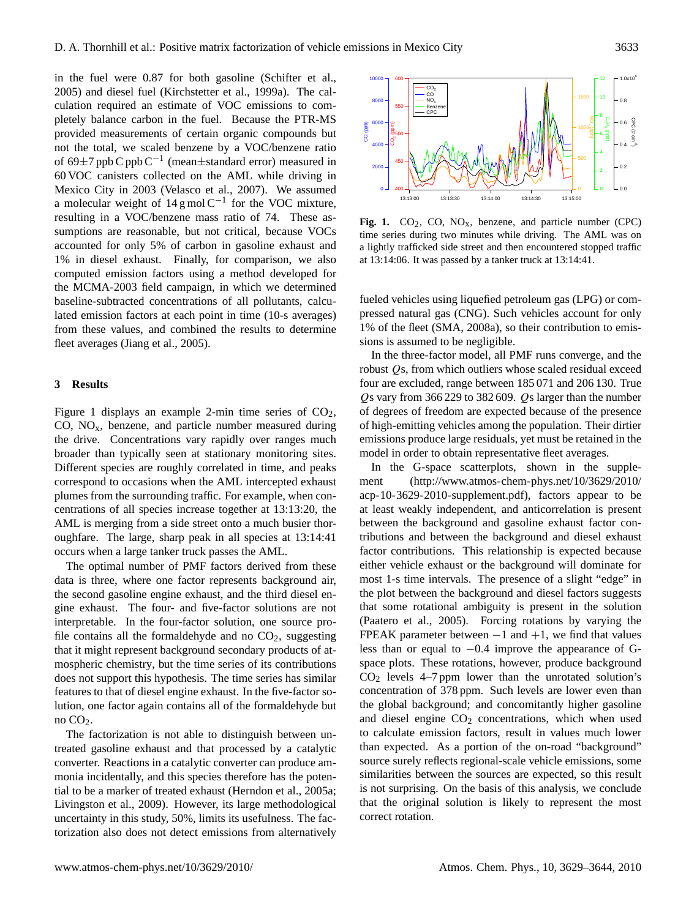in the fuel were 0.87 for both gasoline (Schifter et al., 2005) and diesel fuel (Kirchstetter et al., 1999a). The calculation required an estimate of VOC emissions to completely balance carbon in the fuel. Because the PTR-MS provided measurements of certain organic compounds but not the total, we scaled benzene by a VOC/benzene ratio of 69±7 ppb C ppb C−<sup>1</sup> (mean±standard error) measured in 60 VOC canisters collected on the AML while driving in Mexico City in 2003 (Velasco et al., 2007). We assumed a molecular weight of  $14 \text{ g}$  mol C<sup>-1</sup> for the VOC mixture, resulting in a VOC/benzene mass ratio of 74. These assumptions are reasonable, but not critical, because VOCs accounted for only 5% of carbon in gasoline exhaust and 1% in diesel exhaust. Finally, for comparison, we also computed emission factors using a method developed for the MCMA-2003 field campaign, in which we determined baseline-subtracted concentrations of all pollutants, calculated emission factors at each point in time (10-s averages) from these values, and combined the results to determine fleet averages (Jiang et al., 2005).

#### **3 Results**

Figure 1 displays an example 2-min time series of  $CO<sub>2</sub>$ , CO,  $NO<sub>x</sub>$ , benzene, and particle number measured during the drive. Concentrations vary rapidly over ranges much broader than typically seen at stationary monitoring sites. Different species are roughly correlated in time, and peaks correspond to occasions when the AML intercepted exhaust plumes from the surrounding traffic. For example, when concentrations of all species increase together at 13:13:20, the AML is merging from a side street onto a much busier thoroughfare. The large, sharp peak in all species at 13:14:41 occurs when a large tanker truck passes the AML.

The optimal number of PMF factors derived from these data is three, where one factor represents background air, the second gasoline engine exhaust, and the third diesel engine exhaust. The four- and five-factor solutions are not interpretable. In the four-factor solution, one source profile contains all the formaldehyde and no  $CO<sub>2</sub>$ , suggesting that it might represent background secondary products of atmospheric chemistry, but the time series of its contributions does not support this hypothesis. The time series has similar features to that of diesel engine exhaust. In the five-factor solution, one factor again contains all of the formaldehyde but no  $CO<sub>2</sub>$ .

The factorization is not able to distinguish between untreated gasoline exhaust and that processed by a catalytic converter. Reactions in a catalytic converter can produce ammonia incidentally, and this species therefore has the potential to be a marker of treated exhaust (Herndon et al., 2005a; Livingston et al., 2009). However, its large methodological uncertainty in this study, 50%, limits its usefulness. The factorization also does not detect emissions from alternatively



Fig. 1.  $CO_2$ ,  $CO$ ,  $NO<sub>x</sub>$ , benzene, and particle number (CPC) time series during two minutes while driving. The AML was on a lightly trafficked side street and then encountered stopped traffic at 13:14:06. It was passed by a tanker truck at 13:14:41.

fueled vehicles using liquefied petroleum gas (LPG) or compressed natural gas (CNG). Such vehicles account for only 1% of the fleet (SMA, 2008a), so their contribution to emissions is assumed to be negligible.

In the three-factor model, all PMF runs converge, and the robust Qs, from which outliers whose scaled residual exceed four are excluded, range between 185 071 and 206 130. True Qs vary from 366 229 to 382 609. Qs larger than the number of degrees of freedom are expected because of the presence of high-emitting vehicles among the population. Their dirtier emissions produce large residuals, yet must be retained in the model in order to obtain representative fleet averages.

In the G-space scatterplots, shown in the supplement [\(http://www.atmos-chem-phys.net/10/3629/2010/](http://www.atmos-chem-phys.net/10/3629/2010/acp-10-3629-2010-supplement.pdf) [acp-10-3629-2010-supplement.pdf\)](http://www.atmos-chem-phys.net/10/3629/2010/acp-10-3629-2010-supplement.pdf), factors appear to be at least weakly independent, and anticorrelation is present between the background and gasoline exhaust factor contributions and between the background and diesel exhaust factor contributions. This relationship is expected because either vehicle exhaust or the background will dominate for most 1-s time intervals. The presence of a slight "edge" in the plot between the background and diesel factors suggests that some rotational ambiguity is present in the solution (Paatero et al., 2005). Forcing rotations by varying the FPEAK parameter between  $-1$  and  $+1$ , we find that values less than or equal to −0.4 improve the appearance of Gspace plots. These rotations, however, produce background  $CO<sub>2</sub>$  levels 4–7 ppm lower than the unrotated solution's concentration of 378 ppm. Such levels are lower even than the global background; and concomitantly higher gasoline and diesel engine  $CO<sub>2</sub>$  concentrations, which when used to calculate emission factors, result in values much lower than expected. As a portion of the on-road "background" source surely reflects regional-scale vehicle emissions, some similarities between the sources are expected, so this result is not surprising. On the basis of this analysis, we conclude that the original solution is likely to represent the most correct rotation.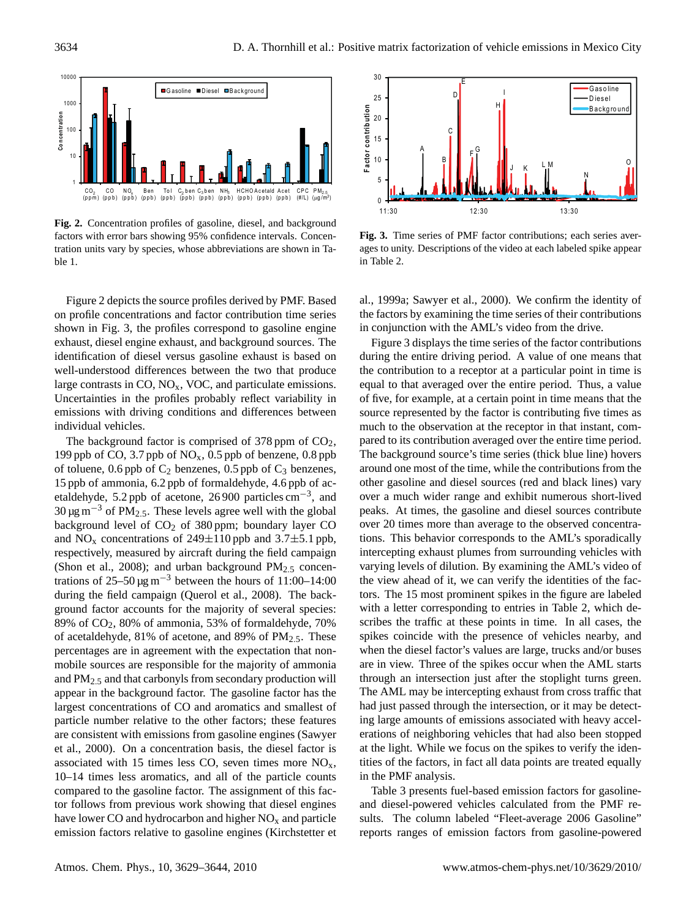

**Fig. 2.** Concentration profiles of gasoline, diesel, and background factors with error bars showing 95% confidence intervals. Concentration units vary by species, whose abbreviations are shown in Table [1.](#page-2-0)

Figure 2 depicts the source profiles derived by PMF. Based on profile concentrations and factor contribution time series shown in Fig. 3, the profiles correspond to gasoline engine exhaust, diesel engine exhaust, and background sources. The identification of diesel versus gasoline exhaust is based on well-understood differences between the two that produce large contrasts in  $CO$ ,  $NO<sub>x</sub>$ , VOC, and particulate emissions. Uncertainties in the profiles probably reflect variability in emissions with driving conditions and differences between individual vehicles.

The background factor is comprised of  $378$  ppm of  $CO<sub>2</sub>$ , 199 ppb of CO, 3.7 ppb of  $NO_x$ , 0.5 ppb of benzene, 0.8 ppb of toluene, 0.6 ppb of  $C_2$  benzenes, 0.5 ppb of  $C_3$  benzenes, 15 ppb of ammonia, 6.2 ppb of formaldehyde, 4.6 ppb of acetaldehyde, 5.2 ppb of acetone, 26 900 particles cm−<sup>3</sup> , and  $30 \,\mu g \, \text{m}^{-3}$  of PM<sub>2.5</sub>. These levels agree well with the global background level of  $CO<sub>2</sub>$  of 380 ppm; boundary layer CO and  $NO<sub>x</sub>$  concentrations of 249 $\pm$ 110 ppb and 3.7 $\pm$ 5.1 ppb, respectively, measured by aircraft during the field campaign (Shon et al., 2008); and urban background  $PM_{2.5}$  concentrations of 25–50  $\mu$ g m<sup>-3</sup> between the hours of 11:00–14:00 during the field campaign (Querol et al., 2008). The background factor accounts for the majority of several species: 89% of CO2, 80% of ammonia, 53% of formaldehyde, 70% of acetaldehyde, 81% of acetone, and 89% of  $PM_{2.5}$ . These percentages are in agreement with the expectation that nonmobile sources are responsible for the majority of ammonia and  $PM_{2.5}$  and that carbonyls from secondary production will appear in the background factor. The gasoline factor has the largest concentrations of CO and aromatics and smallest of particle number relative to the other factors; these features are consistent with emissions from gasoline engines (Sawyer et al., 2000). On a concentration basis, the diesel factor is associated with 15 times less CO, seven times more  $NO<sub>x</sub>$ , 10–14 times less aromatics, and all of the particle counts compared to the gasoline factor. The assignment of this factor follows from previous work showing that diesel engines have lower CO and hydrocarbon and higher  $NO<sub>x</sub>$  and particle emission factors relative to gasoline engines (Kirchstetter et



**Fig. 3.** Time series of PMF factor contributions; each series averages to unity. Descriptions of the video at each labeled spike appear in Table 2.

al., 1999a; Sawyer et al., 2000). We confirm the identity of the factors by examining the time series of their contributions in conjunction with the AML's video from the drive.

Figure 3 displays the time series of the factor contributions during the entire driving period. A value of one means that the contribution to a receptor at a particular point in time is equal to that averaged over the entire period. Thus, a value of five, for example, at a certain point in time means that the source represented by the factor is contributing five times as much to the observation at the receptor in that instant, compared to its contribution averaged over the entire time period. The background source's time series (thick blue line) hovers around one most of the time, while the contributions from the other gasoline and diesel sources (red and black lines) vary over a much wider range and exhibit numerous short-lived peaks. At times, the gasoline and diesel sources contribute over 20 times more than average to the observed concentrations. This behavior corresponds to the AML's sporadically intercepting exhaust plumes from surrounding vehicles with varying levels of dilution. By examining the AML's video of the view ahead of it, we can verify the identities of the factors. The 15 most prominent spikes in the figure are labeled with a letter corresponding to entries in Table 2, which describes the traffic at these points in time. In all cases, the spikes coincide with the presence of vehicles nearby, and when the diesel factor's values are large, trucks and/or buses are in view. Three of the spikes occur when the AML starts through an intersection just after the stoplight turns green. The AML may be intercepting exhaust from cross traffic that had just passed through the intersection, or it may be detecting large amounts of emissions associated with heavy accelerations of neighboring vehicles that had also been stopped at the light. While we focus on the spikes to verify the identities of the factors, in fact all data points are treated equally in the PMF analysis.

Table 3 presents fuel-based emission factors for gasolineand diesel-powered vehicles calculated from the PMF results. The column labeled "Fleet-average 2006 Gasoline" reports ranges of emission factors from gasoline-powered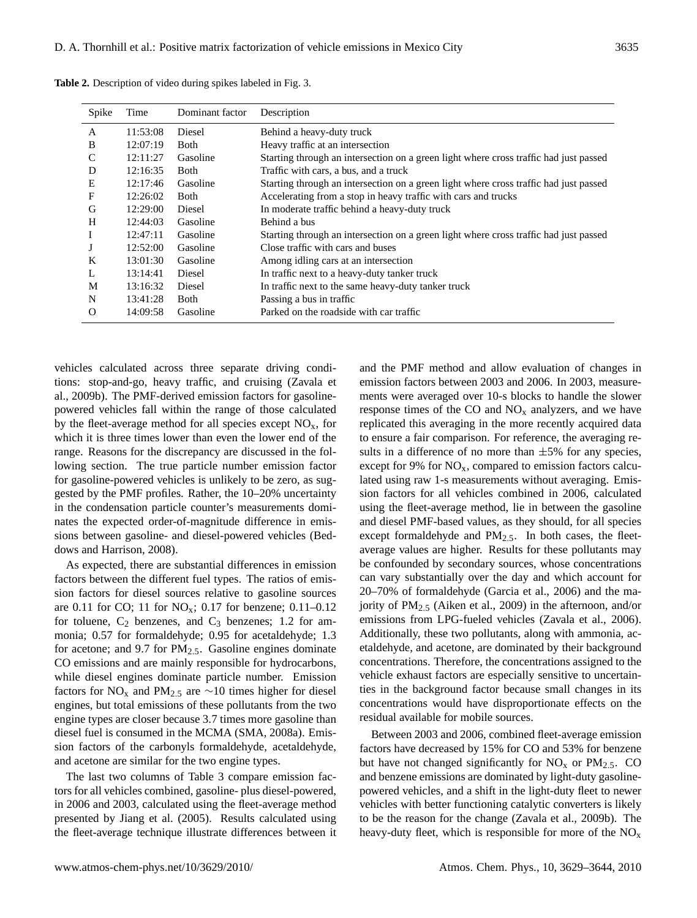| Spike    | Time     | Dominant factor | Description                                                                           |
|----------|----------|-----------------|---------------------------------------------------------------------------------------|
| A        | 11:53:08 | Diesel          | Behind a heavy-duty truck                                                             |
| B        | 12:07:19 | Both            | Heavy traffic at an intersection                                                      |
| C        | 12:11:27 | Gasoline        | Starting through an intersection on a green light where cross traffic had just passed |
| D        | 12:16:35 | <b>Both</b>     | Traffic with cars, a bus, and a truck                                                 |
| E        | 12:17:46 | Gasoline        | Starting through an intersection on a green light where cross traffic had just passed |
| F        | 12:26:02 | Both            | Accelerating from a stop in heavy traffic with cars and trucks                        |
| G        | 12:29:00 | Diesel          | In moderate traffic behind a heavy-duty truck                                         |
| H        | 12:44:03 | Gasoline        | Behind a bus                                                                          |
|          | 12:47:11 | Gasoline        | Starting through an intersection on a green light where cross traffic had just passed |
|          | 12:52:00 | Gasoline        | Close traffic with cars and buses                                                     |
| K        | 13:01:30 | Gasoline        | Among idling cars at an intersection                                                  |
|          | 13:14:41 | Diesel          | In traffic next to a heavy-duty tanker truck                                          |
| M        | 13:16:32 | Diesel          | In traffic next to the same heavy-duty tanker truck                                   |
| N        | 13:41:28 | <b>Both</b>     | Passing a bus in traffic.                                                             |
| $\Omega$ | 14:09:58 | Gasoline        | Parked on the roadside with car traffic                                               |

**Table 2.** Description of video during spikes labeled in Fig. 3.

vehicles calculated across three separate driving conditions: stop-and-go, heavy traffic, and cruising (Zavala et al., 2009b). The PMF-derived emission factors for gasolinepowered vehicles fall within the range of those calculated by the fleet-average method for all species except  $NO<sub>x</sub>$ , for which it is three times lower than even the lower end of the range. Reasons for the discrepancy are discussed in the following section. The true particle number emission factor for gasoline-powered vehicles is unlikely to be zero, as suggested by the PMF profiles. Rather, the 10–20% uncertainty in the condensation particle counter's measurements dominates the expected order-of-magnitude difference in emissions between gasoline- and diesel-powered vehicles (Beddows and Harrison, 2008).

As expected, there are substantial differences in emission factors between the different fuel types. The ratios of emission factors for diesel sources relative to gasoline sources are 0.11 for CO; 11 for  $NO_x$ ; 0.17 for benzene; 0.11–0.12 for toluene,  $C_2$  benzenes, and  $C_3$  benzenes; 1.2 for ammonia; 0.57 for formaldehyde; 0.95 for acetaldehyde; 1.3 for acetone; and  $9.7$  for  $PM_{2.5}$ . Gasoline engines dominate CO emissions and are mainly responsible for hydrocarbons, while diesel engines dominate particle number. Emission factors for NO<sub>x</sub> and PM<sub>2.5</sub> are ∼10 times higher for diesel engines, but total emissions of these pollutants from the two engine types are closer because 3.7 times more gasoline than diesel fuel is consumed in the MCMA (SMA, 2008a). Emission factors of the carbonyls formaldehyde, acetaldehyde, and acetone are similar for the two engine types.

The last two columns of Table 3 compare emission factors for all vehicles combined, gasoline- plus diesel-powered, in 2006 and 2003, calculated using the fleet-average method presented by Jiang et al. (2005). Results calculated using the fleet-average technique illustrate differences between it and the PMF method and allow evaluation of changes in emission factors between 2003 and 2006. In 2003, measurements were averaged over 10-s blocks to handle the slower response times of the  $CO$  and  $NO<sub>x</sub>$  analyzers, and we have replicated this averaging in the more recently acquired data to ensure a fair comparison. For reference, the averaging results in a difference of no more than  $\pm 5\%$  for any species, except for  $9\%$  for  $NO<sub>x</sub>$ , compared to emission factors calculated using raw 1-s measurements without averaging. Emission factors for all vehicles combined in 2006, calculated using the fleet-average method, lie in between the gasoline and diesel PMF-based values, as they should, for all species except formaldehyde and  $PM_{2.5}$ . In both cases, the fleetaverage values are higher. Results for these pollutants may be confounded by secondary sources, whose concentrations can vary substantially over the day and which account for 20–70% of formaldehyde (Garcia et al., 2006) and the majority of PM<sub>2.5</sub> (Aiken et al., 2009) in the afternoon, and/or emissions from LPG-fueled vehicles (Zavala et al., 2006). Additionally, these two pollutants, along with ammonia, acetaldehyde, and acetone, are dominated by their background concentrations. Therefore, the concentrations assigned to the vehicle exhaust factors are especially sensitive to uncertainties in the background factor because small changes in its concentrations would have disproportionate effects on the residual available for mobile sources.

Between 2003 and 2006, combined fleet-average emission factors have decreased by 15% for CO and 53% for benzene but have not changed significantly for  $NO<sub>x</sub>$  or  $PM<sub>2.5</sub>$ . CO and benzene emissions are dominated by light-duty gasolinepowered vehicles, and a shift in the light-duty fleet to newer vehicles with better functioning catalytic converters is likely to be the reason for the change (Zavala et al., 2009b). The heavy-duty fleet, which is responsible for more of the  $NO<sub>x</sub>$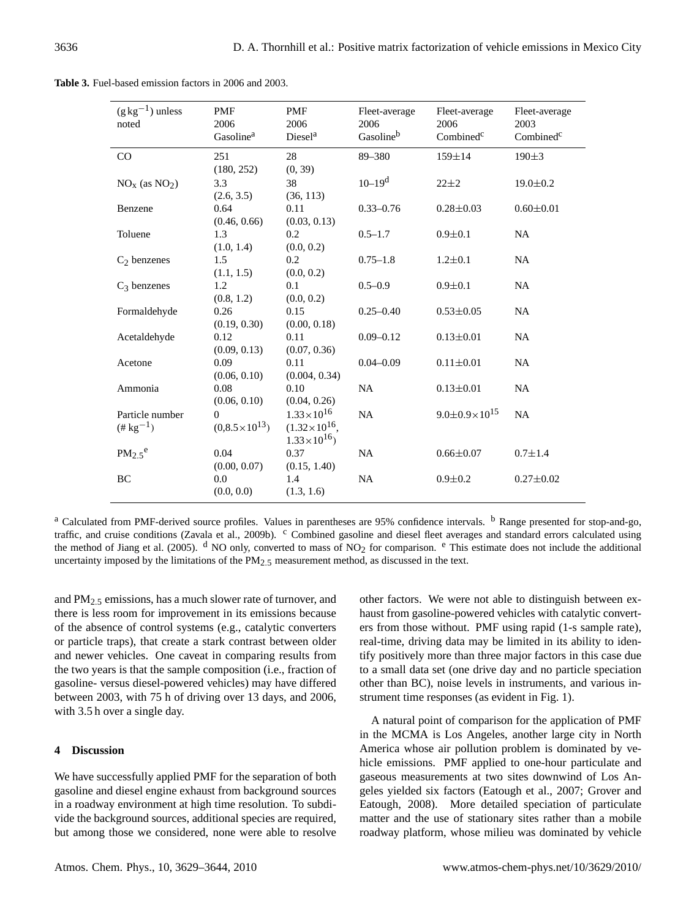| $(g \text{ kg}^{-1})$ unless<br>noted | <b>PMF</b><br>2006<br>Gasoline <sup>a</sup> | <b>PMF</b><br>2006<br>Diesel <sup>a</sup> | Fleet-average<br>2006<br>Gasoline $^{\rm b}$ | Fleet-average<br>2006<br>Combined <sup>c</sup> | Fleet-average<br>2003<br>Combined <sup>c</sup> |
|---------------------------------------|---------------------------------------------|-------------------------------------------|----------------------------------------------|------------------------------------------------|------------------------------------------------|
| CO                                    | 251                                         | 28                                        | 89-380                                       | $159 \pm 14$                                   | $190 + 3$                                      |
|                                       | (180, 252)                                  | (0, 39)                                   |                                              |                                                |                                                |
| $NOx$ (as $NO2$ )                     | 3.3                                         | 38                                        | $10 - 19$ <sup>d</sup>                       | $22 + 2$                                       | $19.0 \pm 0.2$                                 |
|                                       | (2.6, 3.5)                                  | (36, 113)                                 |                                              |                                                |                                                |
| Benzene                               | 0.64                                        | 0.11                                      | $0.33 - 0.76$                                | $0.28 \pm 0.03$                                | $0.60 \pm 0.01$                                |
|                                       | (0.46, 0.66)                                | (0.03, 0.13)                              |                                              |                                                |                                                |
| Toluene                               | 1.3                                         | 0.2                                       | $0.5 - 1.7$                                  | $0.9 \pm 0.1$                                  | <b>NA</b>                                      |
|                                       | (1.0, 1.4)                                  | (0.0, 0.2)                                |                                              |                                                |                                                |
| $C2$ benzenes                         | 1.5                                         | 0.2                                       | $0.75 - 1.8$                                 | $1.2 \pm 0.1$                                  | NA                                             |
|                                       | (1.1, 1.5)                                  | (0.0, 0.2)                                |                                              |                                                |                                                |
| $C_3$ benzenes                        | 1.2                                         | 0.1                                       | $0.5 - 0.9$                                  | $0.9 \pm 0.1$                                  | NA.                                            |
|                                       | (0.8, 1.2)                                  | (0.0, 0.2)                                |                                              |                                                |                                                |
| Formaldehyde                          | 0.26                                        | 0.15                                      | $0.25 - 0.40$                                | $0.53 \pm 0.05$                                | NA                                             |
|                                       | (0.19, 0.30)                                | (0.00, 0.18)                              |                                              |                                                |                                                |
| Acetaldehyde                          | 0.12                                        | 0.11                                      | $0.09 - 0.12$                                | $0.13 \pm 0.01$                                | NA.                                            |
|                                       | (0.09, 0.13)                                | (0.07, 0.36)                              |                                              |                                                |                                                |
| Acetone                               | 0.09                                        | 0.11                                      | $0.04 - 0.09$                                | $0.11 \pm 0.01$                                | NA.                                            |
|                                       | (0.06, 0.10)                                | (0.004, 0.34)                             |                                              |                                                |                                                |
| Ammonia                               | 0.08                                        | 0.10                                      | NA                                           | $0.13 \pm 0.01$                                | NA                                             |
|                                       | (0.06, 0.10)                                | (0.04, 0.26)                              |                                              |                                                |                                                |
| Particle number                       | $\Omega$                                    | $1.33 \times 10^{16}$                     | NA                                           | $9.0 \pm 0.9 \times 10^{15}$                   | <b>NA</b>                                      |
| $(\# \text{ kg}^{-1})$                | $(0,8.5 \times 10^{13})$                    | $(1.32 \times 10^{16},$                   |                                              |                                                |                                                |
|                                       |                                             | $1.33 \times 10^{16}$                     |                                              |                                                |                                                |
| $PM_{2.5}$ <sup>e</sup>               | 0.04                                        | 0.37                                      | NA                                           | $0.66 \pm 0.07$                                | $0.7 \pm 1.4$                                  |
|                                       | (0.00, 0.07)                                | (0.15, 1.40)                              |                                              |                                                |                                                |
| BC                                    | 0.0                                         | 1.4                                       | <b>NA</b>                                    | $0.9 + 0.2$                                    | $0.27 \pm 0.02$                                |
|                                       | (0.0, 0.0)                                  | (1.3, 1.6)                                |                                              |                                                |                                                |

**Table 3.** Fuel-based emission factors in 2006 and 2003.

<sup>a</sup> Calculated from PMF-derived source profiles. Values in parentheses are 95% confidence intervals. <sup>b</sup> Range presented for stop-and-go, traffic, and cruise conditions (Zavala et al., 2009b). <sup>c</sup> Combined gasoline and diesel fleet averages and standard errors calculated using the method of Jiang et al. (2005). <sup>d</sup> NO only, converted to mass of NO<sub>2</sub> for comparison. <sup>e</sup> This estimate does not include the additional uncertainty imposed by the limitations of the  $PM_{2.5}$  measurement method, as discussed in the text.

and PM2.<sup>5</sup> emissions, has a much slower rate of turnover, and there is less room for improvement in its emissions because of the absence of control systems (e.g., catalytic converters or particle traps), that create a stark contrast between older and newer vehicles. One caveat in comparing results from the two years is that the sample composition (i.e., fraction of gasoline- versus diesel-powered vehicles) may have differed between 2003, with 75 h of driving over 13 days, and 2006, with 3.5 h over a single day.

### **4 Discussion**

We have successfully applied PMF for the separation of both gasoline and diesel engine exhaust from background sources in a roadway environment at high time resolution. To subdivide the background sources, additional species are required, but among those we considered, none were able to resolve

other factors. We were not able to distinguish between exhaust from gasoline-powered vehicles with catalytic converters from those without. PMF using rapid (1-s sample rate), real-time, driving data may be limited in its ability to identify positively more than three major factors in this case due to a small data set (one drive day and no particle speciation other than BC), noise levels in instruments, and various instrument time responses (as evident in Fig. 1).

A natural point of comparison for the application of PMF in the MCMA is Los Angeles, another large city in North America whose air pollution problem is dominated by vehicle emissions. PMF applied to one-hour particulate and gaseous measurements at two sites downwind of Los Angeles yielded six factors (Eatough et al., 2007; Grover and Eatough, 2008). More detailed speciation of particulate matter and the use of stationary sites rather than a mobile roadway platform, whose milieu was dominated by vehicle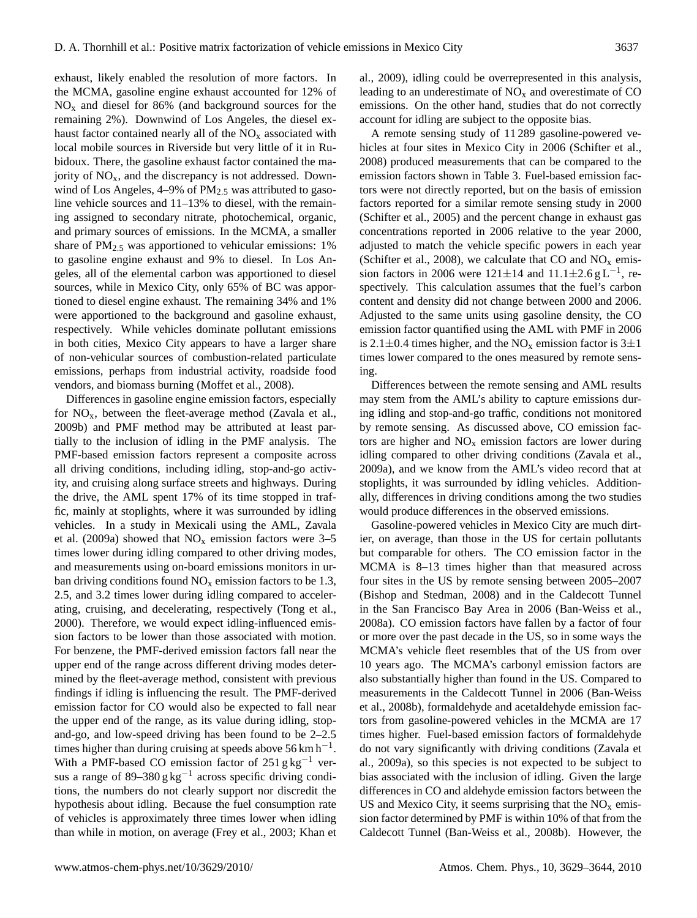exhaust, likely enabled the resolution of more factors. In the MCMA, gasoline engine exhaust accounted for 12% of  $NO<sub>x</sub>$  and diesel for 86% (and background sources for the remaining 2%). Downwind of Los Angeles, the diesel exhaust factor contained nearly all of the  $NO<sub>x</sub>$  associated with local mobile sources in Riverside but very little of it in Rubidoux. There, the gasoline exhaust factor contained the majority of  $NO<sub>x</sub>$ , and the discrepancy is not addressed. Downwind of Los Angeles,  $4-9\%$  of  $PM_{2.5}$  was attributed to gasoline vehicle sources and 11–13% to diesel, with the remain-

ing assigned to secondary nitrate, photochemical, organic, and primary sources of emissions. In the MCMA, a smaller share of  $PM_{2.5}$  was apportioned to vehicular emissions: 1% to gasoline engine exhaust and 9% to diesel. In Los Angeles, all of the elemental carbon was apportioned to diesel sources, while in Mexico City, only 65% of BC was apportioned to diesel engine exhaust. The remaining 34% and 1% were apportioned to the background and gasoline exhaust, respectively. While vehicles dominate pollutant emissions in both cities, Mexico City appears to have a larger share of non-vehicular sources of combustion-related particulate emissions, perhaps from industrial activity, roadside food vendors, and biomass burning (Moffet et al., 2008).

Differences in gasoline engine emission factors, especially for  $NO<sub>x</sub>$ , between the fleet-average method (Zavala et al., 2009b) and PMF method may be attributed at least partially to the inclusion of idling in the PMF analysis. The PMF-based emission factors represent a composite across all driving conditions, including idling, stop-and-go activity, and cruising along surface streets and highways. During the drive, the AML spent 17% of its time stopped in traffic, mainly at stoplights, where it was surrounded by idling vehicles. In a study in Mexicali using the AML, Zavala et al. (2009a) showed that  $NO<sub>x</sub>$  emission factors were 3–5 times lower during idling compared to other driving modes, and measurements using on-board emissions monitors in urban driving conditions found  $NO<sub>x</sub>$  emission factors to be 1.3, 2.5, and 3.2 times lower during idling compared to accelerating, cruising, and decelerating, respectively (Tong et al., 2000). Therefore, we would expect idling-influenced emission factors to be lower than those associated with motion. For benzene, the PMF-derived emission factors fall near the upper end of the range across different driving modes determined by the fleet-average method, consistent with previous findings if idling is influencing the result. The PMF-derived emission factor for CO would also be expected to fall near the upper end of the range, as its value during idling, stopand-go, and low-speed driving has been found to be 2–2.5 times higher than during cruising at speeds above  $56 \text{ km h}^{-1}$ . With a PMF-based CO emission factor of 251 g kg<sup>-1</sup> versus a range of  $89-380$  g kg<sup>-1</sup> across specific driving conditions, the numbers do not clearly support nor discredit the hypothesis about idling. Because the fuel consumption rate of vehicles is approximately three times lower when idling than while in motion, on average (Frey et al., 2003; Khan et al., 2009), idling could be overrepresented in this analysis, leading to an underestimate of  $NO<sub>x</sub>$  and overestimate of CO emissions. On the other hand, studies that do not correctly account for idling are subject to the opposite bias.

A remote sensing study of 11 289 gasoline-powered vehicles at four sites in Mexico City in 2006 (Schifter et al., 2008) produced measurements that can be compared to the emission factors shown in Table 3. Fuel-based emission factors were not directly reported, but on the basis of emission factors reported for a similar remote sensing study in 2000 (Schifter et al., 2005) and the percent change in exhaust gas concentrations reported in 2006 relative to the year 2000, adjusted to match the vehicle specific powers in each year (Schifter et al., 2008), we calculate that CO and  $NO<sub>x</sub>$  emission factors in 2006 were  $121 \pm 14$  and  $11.1 \pm 2.6$  g L<sup>-1</sup>, respectively. This calculation assumes that the fuel's carbon content and density did not change between 2000 and 2006. Adjusted to the same units using gasoline density, the CO emission factor quantified using the AML with PMF in 2006 is 2.1 $\pm$ 0.4 times higher, and the NO<sub>x</sub> emission factor is 3 $\pm$ 1 times lower compared to the ones measured by remote sensing.

Differences between the remote sensing and AML results may stem from the AML's ability to capture emissions during idling and stop-and-go traffic, conditions not monitored by remote sensing. As discussed above, CO emission factors are higher and  $NO<sub>x</sub>$  emission factors are lower during idling compared to other driving conditions (Zavala et al., 2009a), and we know from the AML's video record that at stoplights, it was surrounded by idling vehicles. Additionally, differences in driving conditions among the two studies would produce differences in the observed emissions.

Gasoline-powered vehicles in Mexico City are much dirtier, on average, than those in the US for certain pollutants but comparable for others. The CO emission factor in the MCMA is 8–13 times higher than that measured across four sites in the US by remote sensing between 2005–2007 (Bishop and Stedman, 2008) and in the Caldecott Tunnel in the San Francisco Bay Area in 2006 (Ban-Weiss et al., 2008a). CO emission factors have fallen by a factor of four or more over the past decade in the US, so in some ways the MCMA's vehicle fleet resembles that of the US from over 10 years ago. The MCMA's carbonyl emission factors are also substantially higher than found in the US. Compared to measurements in the Caldecott Tunnel in 2006 (Ban-Weiss et al., 2008b), formaldehyde and acetaldehyde emission factors from gasoline-powered vehicles in the MCMA are 17 times higher. Fuel-based emission factors of formaldehyde do not vary significantly with driving conditions (Zavala et al., 2009a), so this species is not expected to be subject to bias associated with the inclusion of idling. Given the large differences in CO and aldehyde emission factors between the US and Mexico City, it seems surprising that the  $NO<sub>x</sub>$  emission factor determined by PMF is within 10% of that from the Caldecott Tunnel (Ban-Weiss et al., 2008b). However, the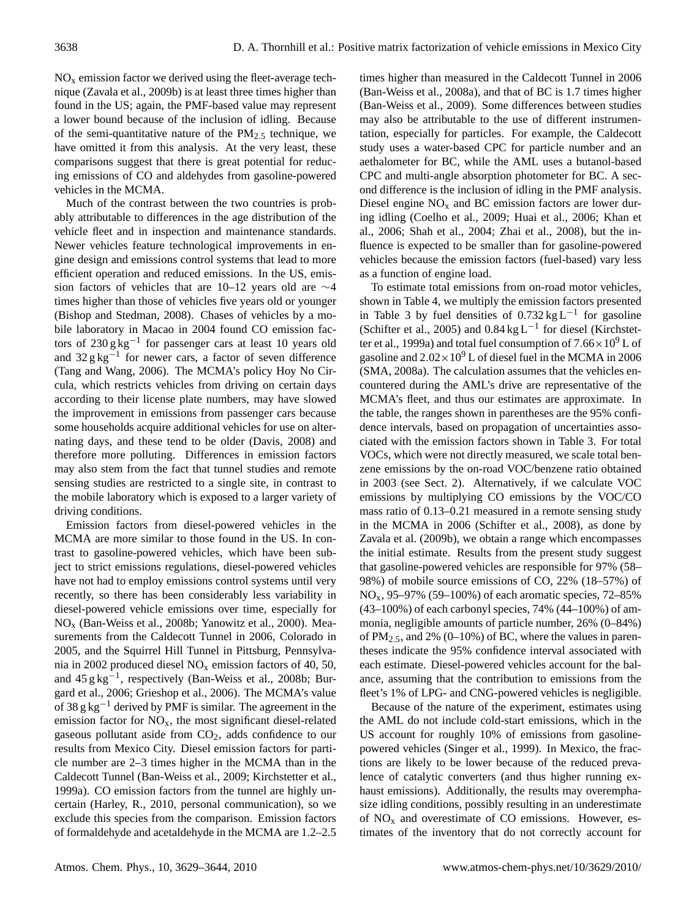$NO<sub>x</sub>$  emission factor we derived using the fleet-average technique (Zavala et al., 2009b) is at least three times higher than found in the US; again, the PMF-based value may represent a lower bound because of the inclusion of idling. Because of the semi-quantitative nature of the  $PM_{2.5}$  technique, we have omitted it from this analysis. At the very least, these comparisons suggest that there is great potential for reducing emissions of CO and aldehydes from gasoline-powered vehicles in the MCMA.

Much of the contrast between the two countries is probably attributable to differences in the age distribution of the vehicle fleet and in inspection and maintenance standards. Newer vehicles feature technological improvements in engine design and emissions control systems that lead to more efficient operation and reduced emissions. In the US, emission factors of vehicles that are 10–12 years old are ∼4 times higher than those of vehicles five years old or younger (Bishop and Stedman, 2008). Chases of vehicles by a mobile laboratory in Macao in 2004 found CO emission factors of  $230 \text{ g kg}^{-1}$  for passenger cars at least 10 years old and 32 g kg−<sup>1</sup> for newer cars, a factor of seven difference (Tang and Wang, 2006). The MCMA's policy Hoy No Circula, which restricts vehicles from driving on certain days according to their license plate numbers, may have slowed the improvement in emissions from passenger cars because some households acquire additional vehicles for use on alternating days, and these tend to be older (Davis, 2008) and therefore more polluting. Differences in emission factors may also stem from the fact that tunnel studies and remote sensing studies are restricted to a single site, in contrast to the mobile laboratory which is exposed to a larger variety of driving conditions.

Emission factors from diesel-powered vehicles in the MCMA are more similar to those found in the US. In contrast to gasoline-powered vehicles, which have been subject to strict emissions regulations, diesel-powered vehicles have not had to employ emissions control systems until very recently, so there has been considerably less variability in diesel-powered vehicle emissions over time, especially for NO<sup>x</sup> (Ban-Weiss et al., 2008b; Yanowitz et al., 2000). Measurements from the Caldecott Tunnel in 2006, Colorado in 2005, and the Squirrel Hill Tunnel in Pittsburg, Pennsylvania in 2002 produced diesel  $NO<sub>x</sub>$  emission factors of 40, 50, and  $45 \text{ g kg}^{-1}$ , respectively (Ban-Weiss et al., 2008b; Burgard et al., 2006; Grieshop et al., 2006). The MCMA's value of 38 g kg<sup>-1</sup> derived by PMF is similar. The agreement in the emission factor for  $NO<sub>x</sub>$ , the most significant diesel-related gaseous pollutant aside from  $CO<sub>2</sub>$ , adds confidence to our results from Mexico City. Diesel emission factors for particle number are 2–3 times higher in the MCMA than in the Caldecott Tunnel (Ban-Weiss et al., 2009; Kirchstetter et al., 1999a). CO emission factors from the tunnel are highly uncertain (Harley, R., 2010, personal communication), so we exclude this species from the comparison. Emission factors of formaldehyde and acetaldehyde in the MCMA are 1.2–2.5 times higher than measured in the Caldecott Tunnel in 2006 (Ban-Weiss et al., 2008a), and that of BC is 1.7 times higher (Ban-Weiss et al., 2009). Some differences between studies may also be attributable to the use of different instrumentation, especially for particles. For example, the Caldecott study uses a water-based CPC for particle number and an aethalometer for BC, while the AML uses a butanol-based CPC and multi-angle absorption photometer for BC. A second difference is the inclusion of idling in the PMF analysis. Diesel engine  $NO<sub>x</sub>$  and BC emission factors are lower during idling (Coelho et al., 2009; Huai et al., 2006; Khan et al., 2006; Shah et al., 2004; Zhai et al., 2008), but the influence is expected to be smaller than for gasoline-powered vehicles because the emission factors (fuel-based) vary less as a function of engine load.

To estimate total emissions from on-road motor vehicles, shown in Table 4, we multiply the emission factors presented in Table 3 by fuel densities of  $0.732 \text{ kg L}^{-1}$  for gasoline (Schifter et al., 2005) and 0.84 kg L−<sup>1</sup> for diesel (Kirchstetter et al., 1999a) and total fuel consumption of  $7.66 \times 10^9$  L of gasoline and  $2.02 \times 10^9$  L of diesel fuel in the MCMA in 2006 (SMA, 2008a). The calculation assumes that the vehicles encountered during the AML's drive are representative of the MCMA's fleet, and thus our estimates are approximate. In the table, the ranges shown in parentheses are the 95% confidence intervals, based on propagation of uncertainties associated with the emission factors shown in Table 3. For total VOCs, which were not directly measured, we scale total benzene emissions by the on-road VOC/benzene ratio obtained in 2003 (see Sect. 2). Alternatively, if we calculate VOC emissions by multiplying CO emissions by the VOC/CO mass ratio of 0.13–0.21 measured in a remote sensing study in the MCMA in 2006 (Schifter et al., 2008), as done by Zavala et al. (2009b), we obtain a range which encompasses the initial estimate. Results from the present study suggest that gasoline-powered vehicles are responsible for 97% (58– 98%) of mobile source emissions of CO, 22% (18–57%) of NOx, 95–97% (59–100%) of each aromatic species, 72–85% (43–100%) of each carbonyl species, 74% (44–100%) of ammonia, negligible amounts of particle number, 26% (0–84%) of  $PM_{2.5}$ , and 2% (0–10%) of BC, where the values in parentheses indicate the 95% confidence interval associated with each estimate. Diesel-powered vehicles account for the balance, assuming that the contribution to emissions from the fleet's 1% of LPG- and CNG-powered vehicles is negligible.

Because of the nature of the experiment, estimates using the AML do not include cold-start emissions, which in the US account for roughly 10% of emissions from gasolinepowered vehicles (Singer et al., 1999). In Mexico, the fractions are likely to be lower because of the reduced prevalence of catalytic converters (and thus higher running exhaust emissions). Additionally, the results may overemphasize idling conditions, possibly resulting in an underestimate of  $NO<sub>x</sub>$  and overestimate of CO emissions. However, estimates of the inventory that do not correctly account for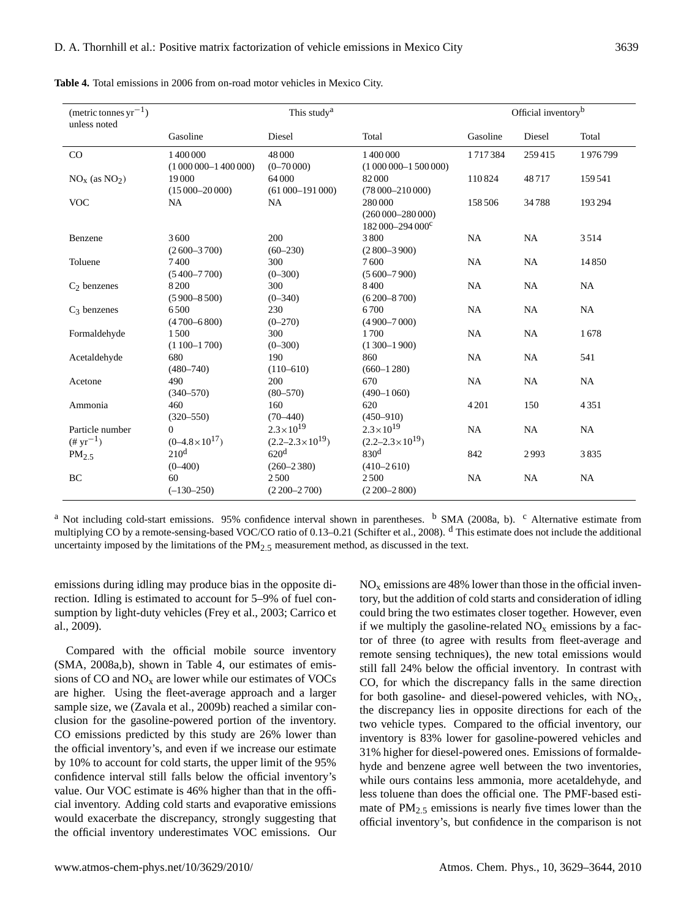| (metric tonnes $yr^{-1}$ )<br>unless noted | This study <sup>a</sup>            |                                                      | Official inventory <sup>b</sup>                                 |           |           |           |
|--------------------------------------------|------------------------------------|------------------------------------------------------|-----------------------------------------------------------------|-----------|-----------|-----------|
|                                            | Gasoline                           | Diesel                                               | Total                                                           | Gasoline  | Diesel    | Total     |
| CO                                         | 1400000<br>$(1000000 - 1400000)$   | 48 000<br>$(0-70000)$                                | 1 400 000<br>$(1000000 - 1500000)$                              | 1717384   | 259415    | 1976799   |
| $NOx$ (as $NO2$ )                          | 19 000<br>$(15000 - 20000)$        | 64 000<br>$(61000 - 191000)$                         | 82000<br>$(78000 - 210000)$                                     | 110824    | 48717     | 159541    |
| <b>VOC</b>                                 | NA                                 | NA.                                                  | 280000<br>$(260000 - 280000)$<br>$182000 - 294000$ <sup>c</sup> | 158 506   | 34788     | 193 294   |
| Benzene                                    | 3600<br>$(2600 - 3700)$            | 200<br>$(60 - 230)$                                  | 3800<br>$(2800 - 3900)$                                         | <b>NA</b> | <b>NA</b> | 3514      |
| Toluene                                    | 7400<br>$(5400 - 7700)$            | 300<br>$(0 - 300)$                                   | 7600<br>$(5600 - 7900)$                                         | <b>NA</b> | NA        | 14850     |
| $C2$ benzenes                              | 8200<br>$(5900 - 8500)$            | 300<br>$(0 - 340)$                                   | 8400<br>$(6200 - 8700)$                                         | NA        | NA        | NA        |
| $C_3$ benzenes                             | 6500<br>$(4700 - 6800)$            | 230<br>$(0 - 270)$                                   | 6700<br>$(4900 - 7000)$                                         | <b>NA</b> | NA        | NA        |
| Formaldehyde                               | 1500<br>$(1100 - 1700)$            | 300<br>$(0 - 300)$                                   | 1700<br>$(1300 - 1900)$                                         | NA        | NA        | 1678      |
| Acetaldehyde                               | 680<br>$(480 - 740)$               | 190<br>$(110-610)$                                   | 860<br>$(660 - 1280)$                                           | <b>NA</b> | NA        | 541       |
| Acetone                                    | 490<br>$(340 - 570)$               | 200<br>$(80 - 570)$                                  | 670<br>$(490 - 1060)$                                           | <b>NA</b> | NA        | NA        |
| Ammonia                                    | 460<br>$(320 - 550)$               | 160<br>$(70 - 440)$                                  | 620<br>$(450 - 910)$                                            | 4 2 0 1   | 150       | 4351      |
| Particle number<br>$(\# \text{ yr}^{-1})$  | $\Omega$<br>$(0-4.8\times10^{17})$ | $2.3 \times 10^{19}$<br>$(2.2 - 2.3 \times 10^{19})$ | $2.3 \times 10^{19}$<br>$(2.2 - 2.3 \times 10^{19})$            | <b>NA</b> | NA        | <b>NA</b> |
| PM <sub>2.5</sub>                          | 210 <sup>d</sup><br>$(0 - 400)$    | 620 <sup>d</sup><br>$(260 - 2380)$                   | 830 <sup>d</sup><br>$(410 - 2610)$                              | 842       | 2993      | 3835      |
| BC                                         | 60<br>$(-130-250)$                 | 2500<br>$(2200 - 2700)$                              | 2500<br>$(2200 - 2800)$                                         | <b>NA</b> | NA        | <b>NA</b> |

**Table 4.** Total emissions in 2006 from on-road motor vehicles in Mexico City.

<sup>a</sup> Not including cold-start emissions. 95% confidence interval shown in parentheses. <sup>b</sup> SMA (2008a, b). <sup>c</sup> Alternative estimate from multiplying CO by a remote-sensing-based VOC/CO ratio of 0.13–0.21 (Schifter et al., 2008). <sup>d</sup> This estimate does not include the additional uncertainty imposed by the limitations of the  $PM_{2.5}$  measurement method, as discussed in the text.

emissions during idling may produce bias in the opposite direction. Idling is estimated to account for 5–9% of fuel consumption by light-duty vehicles (Frey et al., 2003; Carrico et al., 2009).

Compared with the official mobile source inventory (SMA, 2008a,b), shown in Table 4, our estimates of emissions of CO and  $NO<sub>x</sub>$  are lower while our estimates of VOCs are higher. Using the fleet-average approach and a larger sample size, we (Zavala et al., 2009b) reached a similar conclusion for the gasoline-powered portion of the inventory. CO emissions predicted by this study are 26% lower than the official inventory's, and even if we increase our estimate by 10% to account for cold starts, the upper limit of the 95% confidence interval still falls below the official inventory's value. Our VOC estimate is 46% higher than that in the official inventory. Adding cold starts and evaporative emissions would exacerbate the discrepancy, strongly suggesting that the official inventory underestimates VOC emissions. Our  $NO<sub>x</sub>$  emissions are 48% lower than those in the official inventory, but the addition of cold starts and consideration of idling could bring the two estimates closer together. However, even if we multiply the gasoline-related  $NO<sub>x</sub>$  emissions by a factor of three (to agree with results from fleet-average and remote sensing techniques), the new total emissions would still fall 24% below the official inventory. In contrast with CO, for which the discrepancy falls in the same direction for both gasoline- and diesel-powered vehicles, with  $NO<sub>x</sub>$ , the discrepancy lies in opposite directions for each of the two vehicle types. Compared to the official inventory, our inventory is 83% lower for gasoline-powered vehicles and 31% higher for diesel-powered ones. Emissions of formaldehyde and benzene agree well between the two inventories, while ours contains less ammonia, more acetaldehyde, and less toluene than does the official one. The PMF-based estimate of  $PM<sub>2.5</sub>$  emissions is nearly five times lower than the official inventory's, but confidence in the comparison is not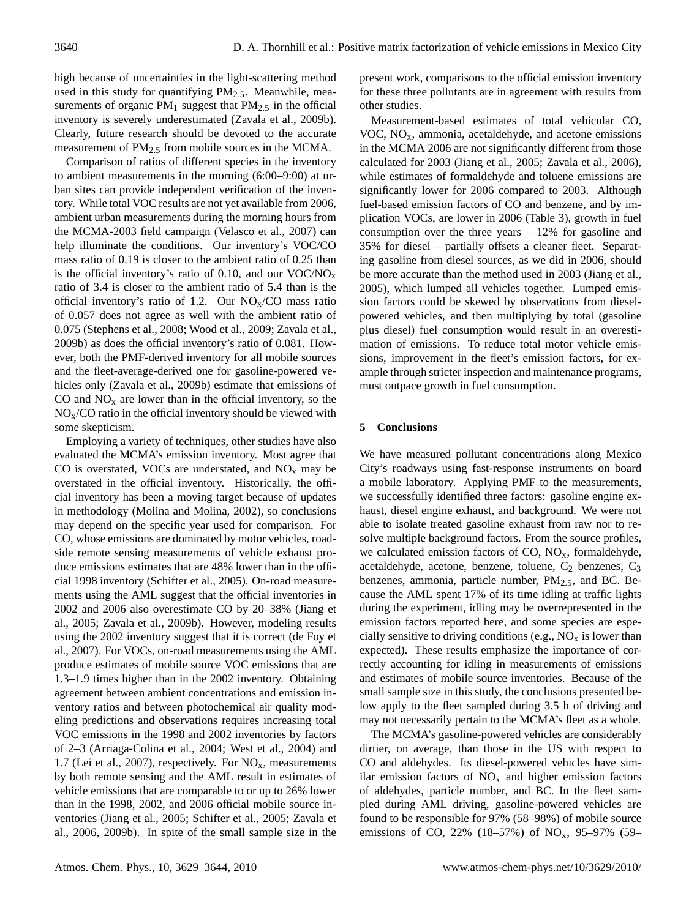high because of uncertainties in the light-scattering method used in this study for quantifying  $PM_{2.5}$ . Meanwhile, measurements of organic  $PM_1$  suggest that  $PM_{2.5}$  in the official inventory is severely underestimated (Zavala et al., 2009b). Clearly, future research should be devoted to the accurate measurement of  $PM<sub>2.5</sub>$  from mobile sources in the MCMA.

Comparison of ratios of different species in the inventory to ambient measurements in the morning (6:00–9:00) at urban sites can provide independent verification of the inventory. While total VOC results are not yet available from 2006, ambient urban measurements during the morning hours from the MCMA-2003 field campaign (Velasco et al., 2007) can help illuminate the conditions. Our inventory's VOC/CO mass ratio of 0.19 is closer to the ambient ratio of 0.25 than is the official inventory's ratio of 0.10, and our  $VOC/NO<sub>x</sub>$ ratio of 3.4 is closer to the ambient ratio of 5.4 than is the official inventory's ratio of 1.2. Our  $NO<sub>x</sub>/CO$  mass ratio of 0.057 does not agree as well with the ambient ratio of 0.075 (Stephens et al., 2008; Wood et al., 2009; Zavala et al., 2009b) as does the official inventory's ratio of 0.081. However, both the PMF-derived inventory for all mobile sources and the fleet-average-derived one for gasoline-powered vehicles only (Zavala et al., 2009b) estimate that emissions of CO and  $NO<sub>x</sub>$  are lower than in the official inventory, so the  $NO<sub>x</sub>/CO$  ratio in the official inventory should be viewed with some skepticism.

Employing a variety of techniques, other studies have also evaluated the MCMA's emission inventory. Most agree that CO is overstated, VOCs are understated, and  $NO<sub>x</sub>$  may be overstated in the official inventory. Historically, the official inventory has been a moving target because of updates in methodology (Molina and Molina, 2002), so conclusions may depend on the specific year used for comparison. For CO, whose emissions are dominated by motor vehicles, roadside remote sensing measurements of vehicle exhaust produce emissions estimates that are 48% lower than in the official 1998 inventory (Schifter et al., 2005). On-road measurements using the AML suggest that the official inventories in 2002 and 2006 also overestimate CO by 20–38% (Jiang et al., 2005; Zavala et al., 2009b). However, modeling results using the 2002 inventory suggest that it is correct (de Foy et al., 2007). For VOCs, on-road measurements using the AML produce estimates of mobile source VOC emissions that are 1.3–1.9 times higher than in the 2002 inventory. Obtaining agreement between ambient concentrations and emission inventory ratios and between photochemical air quality modeling predictions and observations requires increasing total VOC emissions in the 1998 and 2002 inventories by factors of 2–3 (Arriaga-Colina et al., 2004; West et al., 2004) and 1.7 (Lei et al., 2007), respectively. For  $NO_x$ , measurements by both remote sensing and the AML result in estimates of vehicle emissions that are comparable to or up to 26% lower than in the 1998, 2002, and 2006 official mobile source inventories (Jiang et al., 2005; Schifter et al., 2005; Zavala et al., 2006, 2009b). In spite of the small sample size in the present work, comparisons to the official emission inventory for these three pollutants are in agreement with results from other studies.

Measurement-based estimates of total vehicular CO, VOC,  $NO<sub>x</sub>$ , ammonia, acetaldehyde, and acetone emissions in the MCMA 2006 are not significantly different from those calculated for 2003 (Jiang et al., 2005; Zavala et al., 2006), while estimates of formaldehyde and toluene emissions are significantly lower for 2006 compared to 2003. Although fuel-based emission factors of CO and benzene, and by implication VOCs, are lower in 2006 (Table 3), growth in fuel consumption over the three years – 12% for gasoline and 35% for diesel – partially offsets a cleaner fleet. Separating gasoline from diesel sources, as we did in 2006, should be more accurate than the method used in 2003 (Jiang et al., 2005), which lumped all vehicles together. Lumped emission factors could be skewed by observations from dieselpowered vehicles, and then multiplying by total (gasoline plus diesel) fuel consumption would result in an overestimation of emissions. To reduce total motor vehicle emissions, improvement in the fleet's emission factors, for example through stricter inspection and maintenance programs, must outpace growth in fuel consumption.

## **5 Conclusions**

We have measured pollutant concentrations along Mexico City's roadways using fast-response instruments on board a mobile laboratory. Applying PMF to the measurements, we successfully identified three factors: gasoline engine exhaust, diesel engine exhaust, and background. We were not able to isolate treated gasoline exhaust from raw nor to resolve multiple background factors. From the source profiles, we calculated emission factors of  $CO$ ,  $NO<sub>x</sub>$ , formaldehyde, acetaldehyde, acetone, benzene, toluene,  $C_2$  benzenes,  $C_3$ benzenes, ammonia, particle number,  $PM_{2.5}$ , and BC. Because the AML spent 17% of its time idling at traffic lights during the experiment, idling may be overrepresented in the emission factors reported here, and some species are especially sensitive to driving conditions (e.g.,  $NO<sub>x</sub>$  is lower than expected). These results emphasize the importance of correctly accounting for idling in measurements of emissions and estimates of mobile source inventories. Because of the small sample size in this study, the conclusions presented below apply to the fleet sampled during 3.5 h of driving and may not necessarily pertain to the MCMA's fleet as a whole.

The MCMA's gasoline-powered vehicles are considerably dirtier, on average, than those in the US with respect to CO and aldehydes. Its diesel-powered vehicles have similar emission factors of  $NO<sub>x</sub>$  and higher emission factors of aldehydes, particle number, and BC. In the fleet sampled during AML driving, gasoline-powered vehicles are found to be responsible for 97% (58–98%) of mobile source emissions of CO, 22% (18–57%) of  $NO_x$ , 95–97% (59–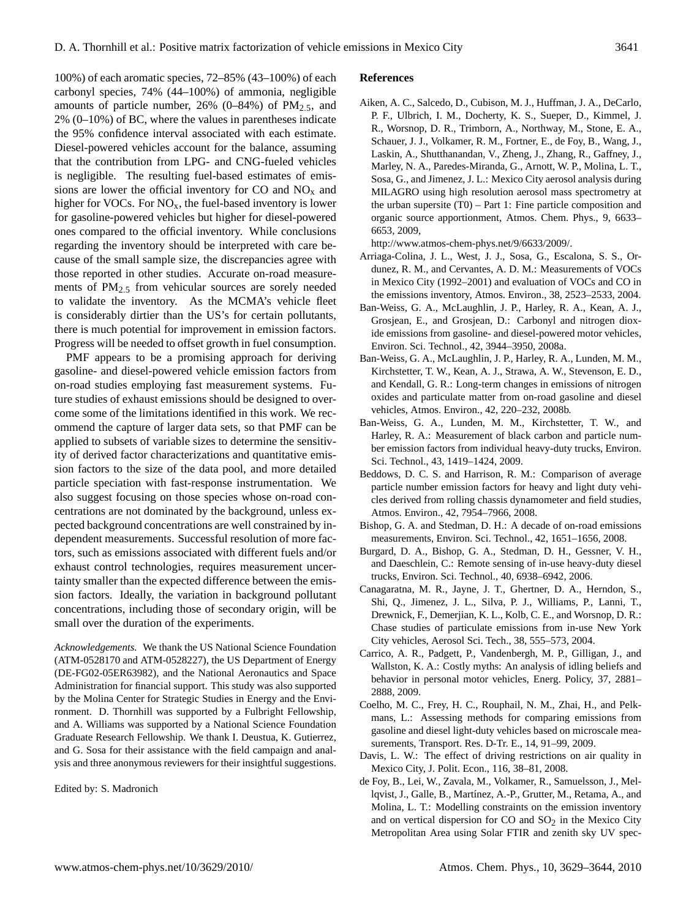100%) of each aromatic species, 72–85% (43–100%) of each carbonyl species, 74% (44–100%) of ammonia, negligible amounts of particle number,  $26\%$  (0–84%) of PM<sub>2.5</sub>, and 2% (0–10%) of BC, where the values in parentheses indicate the 95% confidence interval associated with each estimate. Diesel-powered vehicles account for the balance, assuming that the contribution from LPG- and CNG-fueled vehicles is negligible. The resulting fuel-based estimates of emissions are lower the official inventory for CO and  $NO<sub>x</sub>$  and higher for VOCs. For  $NO<sub>x</sub>$ , the fuel-based inventory is lower for gasoline-powered vehicles but higher for diesel-powered ones compared to the official inventory. While conclusions regarding the inventory should be interpreted with care because of the small sample size, the discrepancies agree with those reported in other studies. Accurate on-road measurements of PM2.<sup>5</sup> from vehicular sources are sorely needed to validate the inventory. As the MCMA's vehicle fleet is considerably dirtier than the US's for certain pollutants, there is much potential for improvement in emission factors. Progress will be needed to offset growth in fuel consumption.

PMF appears to be a promising approach for deriving gasoline- and diesel-powered vehicle emission factors from on-road studies employing fast measurement systems. Future studies of exhaust emissions should be designed to overcome some of the limitations identified in this work. We recommend the capture of larger data sets, so that PMF can be applied to subsets of variable sizes to determine the sensitivity of derived factor characterizations and quantitative emission factors to the size of the data pool, and more detailed particle speciation with fast-response instrumentation. We also suggest focusing on those species whose on-road concentrations are not dominated by the background, unless expected background concentrations are well constrained by independent measurements. Successful resolution of more factors, such as emissions associated with different fuels and/or exhaust control technologies, requires measurement uncertainty smaller than the expected difference between the emission factors. Ideally, the variation in background pollutant concentrations, including those of secondary origin, will be small over the duration of the experiments.

*Acknowledgements.* We thank the US National Science Foundation (ATM-0528170 and ATM-0528227), the US Department of Energy (DE-FG02-05ER63982), and the National Aeronautics and Space Administration for financial support. This study was also supported by the Molina Center for Strategic Studies in Energy and the Environment. D. Thornhill was supported by a Fulbright Fellowship, and A. Williams was supported by a National Science Foundation Graduate Research Fellowship. We thank I. Deustua, K. Gutierrez, and G. Sosa for their assistance with the field campaign and analysis and three anonymous reviewers for their insightful suggestions.

Edited by: S. Madronich

#### **References**

Aiken, A. C., Salcedo, D., Cubison, M. J., Huffman, J. A., DeCarlo, P. F., Ulbrich, I. M., Docherty, K. S., Sueper, D., Kimmel, J. R., Worsnop, D. R., Trimborn, A., Northway, M., Stone, E. A., Schauer, J. J., Volkamer, R. M., Fortner, E., de Foy, B., Wang, J., Laskin, A., Shutthanandan, V., Zheng, J., Zhang, R., Gaffney, J., Marley, N. A., Paredes-Miranda, G., Arnott, W. P., Molina, L. T., Sosa, G., and Jimenez, J. L.: Mexico City aerosol analysis during MILAGRO using high resolution aerosol mass spectrometry at the urban supersite (T0) – Part 1: Fine particle composition and organic source apportionment, Atmos. Chem. Phys., 9, 6633– 6653, 2009,

[http://www.atmos-chem-phys.net/9/6633/2009/.](http://www.atmos-chem-phys.net/9/6633/2009/)

- Arriaga-Colina, J. L., West, J. J., Sosa, G., Escalona, S. S., Ordunez, R. M., and Cervantes, A. D. M.: Measurements of VOCs in Mexico City (1992–2001) and evaluation of VOCs and CO in the emissions inventory, Atmos. Environ., 38, 2523–2533, 2004.
- Ban-Weiss, G. A., McLaughlin, J. P., Harley, R. A., Kean, A. J., Grosjean, E., and Grosjean, D.: Carbonyl and nitrogen dioxide emissions from gasoline- and diesel-powered motor vehicles, Environ. Sci. Technol., 42, 3944–3950, 2008a.
- Ban-Weiss, G. A., McLaughlin, J. P., Harley, R. A., Lunden, M. M., Kirchstetter, T. W., Kean, A. J., Strawa, A. W., Stevenson, E. D., and Kendall, G. R.: Long-term changes in emissions of nitrogen oxides and particulate matter from on-road gasoline and diesel vehicles, Atmos. Environ., 42, 220–232, 2008b.
- Ban-Weiss, G. A., Lunden, M. M., Kirchstetter, T. W., and Harley, R. A.: Measurement of black carbon and particle number emission factors from individual heavy-duty trucks, Environ. Sci. Technol., 43, 1419–1424, 2009.
- Beddows, D. C. S. and Harrison, R. M.: Comparison of average particle number emission factors for heavy and light duty vehicles derived from rolling chassis dynamometer and field studies, Atmos. Environ., 42, 7954–7966, 2008.
- Bishop, G. A. and Stedman, D. H.: A decade of on-road emissions measurements, Environ. Sci. Technol., 42, 1651–1656, 2008.
- Burgard, D. A., Bishop, G. A., Stedman, D. H., Gessner, V. H., and Daeschlein, C.: Remote sensing of in-use heavy-duty diesel trucks, Environ. Sci. Technol., 40, 6938–6942, 2006.
- Canagaratna, M. R., Jayne, J. T., Ghertner, D. A., Herndon, S., Shi, Q., Jimenez, J. L., Silva, P. J., Williams, P., Lanni, T., Drewnick, F., Demerjian, K. L., Kolb, C. E., and Worsnop, D. R.: Chase studies of particulate emissions from in-use New York City vehicles, Aerosol Sci. Tech., 38, 555–573, 2004.
- Carrico, A. R., Padgett, P., Vandenbergh, M. P., Gilligan, J., and Wallston, K. A.: Costly myths: An analysis of idling beliefs and behavior in personal motor vehicles, Energ. Policy, 37, 2881– 2888, 2009.
- Coelho, M. C., Frey, H. C., Rouphail, N. M., Zhai, H., and Pelkmans, L.: Assessing methods for comparing emissions from gasoline and diesel light-duty vehicles based on microscale measurements, Transport. Res. D-Tr. E., 14, 91–99, 2009.
- Davis, L. W.: The effect of driving restrictions on air quality in Mexico City, J. Polit. Econ., 116, 38–81, 2008.
- de Foy, B., Lei, W., Zavala, M., Volkamer, R., Samuelsson, J., Mellqvist, J., Galle, B., Martínez, A.-P., Grutter, M., Retama, A., and Molina, L. T.: Modelling constraints on the emission inventory and on vertical dispersion for  $CO$  and  $SO<sub>2</sub>$  in the Mexico City Metropolitan Area using Solar FTIR and zenith sky UV spec-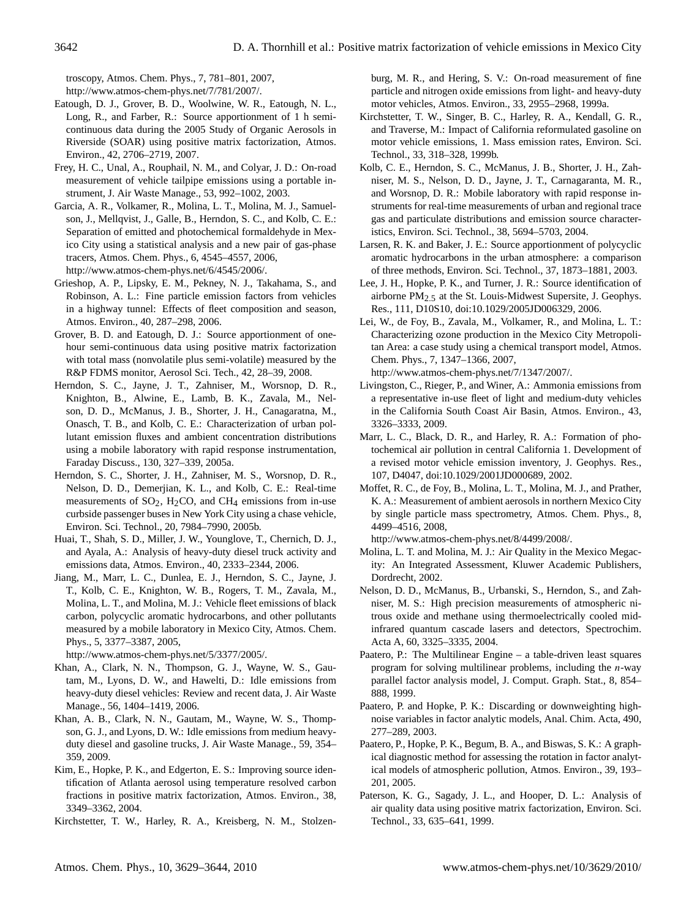troscopy, Atmos. Chem. Phys., 7, 781–801, 2007,

- [http://www.atmos-chem-phys.net/7/781/2007/.](http://www.atmos-chem-phys.net/7/781/2007/)
- Eatough, D. J., Grover, B. D., Woolwine, W. R., Eatough, N. L., Long, R., and Farber, R.: Source apportionment of 1 h semicontinuous data during the 2005 Study of Organic Aerosols in Riverside (SOAR) using positive matrix factorization, Atmos. Environ., 42, 2706–2719, 2007.
- Frey, H. C., Unal, A., Rouphail, N. M., and Colyar, J. D.: On-road measurement of vehicle tailpipe emissions using a portable instrument, J. Air Waste Manage., 53, 992–1002, 2003.
- Garcia, A. R., Volkamer, R., Molina, L. T., Molina, M. J., Samuelson, J., Mellqvist, J., Galle, B., Herndon, S. C., and Kolb, C. E.: Separation of emitted and photochemical formaldehyde in Mexico City using a statistical analysis and a new pair of gas-phase tracers, Atmos. Chem. Phys., 6, 4545–4557, 2006, [http://www.atmos-chem-phys.net/6/4545/2006/.](http://www.atmos-chem-phys.net/6/4545/2006/)
- Grieshop, A. P., Lipsky, E. M., Pekney, N. J., Takahama, S., and Robinson, A. L.: Fine particle emission factors from vehicles in a highway tunnel: Effects of fleet composition and season, Atmos. Environ., 40, 287–298, 2006.
- Grover, B. D. and Eatough, D. J.: Source apportionment of onehour semi-continuous data using positive matrix factorization with total mass (nonvolatile plus semi-volatile) measured by the R&P FDMS monitor, Aerosol Sci. Tech., 42, 28–39, 2008.
- Herndon, S. C., Jayne, J. T., Zahniser, M., Worsnop, D. R., Knighton, B., Alwine, E., Lamb, B. K., Zavala, M., Nelson, D. D., McManus, J. B., Shorter, J. H., Canagaratna, M., Onasch, T. B., and Kolb, C. E.: Characterization of urban pollutant emission fluxes and ambient concentration distributions using a mobile laboratory with rapid response instrumentation, Faraday Discuss., 130, 327–339, 2005a.
- Herndon, S. C., Shorter, J. H., Zahniser, M. S., Worsnop, D. R., Nelson, D. D., Demerjian, K. L., and Kolb, C. E.: Real-time measurements of  $SO_2$ ,  $H_2CO$ , and  $CH_4$  emissions from in-use curbside passenger buses in New York City using a chase vehicle, Environ. Sci. Technol., 20, 7984–7990, 2005b.
- Huai, T., Shah, S. D., Miller, J. W., Younglove, T., Chernich, D. J., and Ayala, A.: Analysis of heavy-duty diesel truck activity and emissions data, Atmos. Environ., 40, 2333–2344, 2006.
- Jiang, M., Marr, L. C., Dunlea, E. J., Herndon, S. C., Jayne, J. T., Kolb, C. E., Knighton, W. B., Rogers, T. M., Zavala, M., Molina, L. T., and Molina, M. J.: Vehicle fleet emissions of black carbon, polycyclic aromatic hydrocarbons, and other pollutants measured by a mobile laboratory in Mexico City, Atmos. Chem. Phys., 5, 3377–3387, 2005,

[http://www.atmos-chem-phys.net/5/3377/2005/.](http://www.atmos-chem-phys.net/5/3377/2005/)

- Khan, A., Clark, N. N., Thompson, G. J., Wayne, W. S., Gautam, M., Lyons, D. W., and Hawelti, D.: Idle emissions from heavy-duty diesel vehicles: Review and recent data, J. Air Waste Manage., 56, 1404–1419, 2006.
- Khan, A. B., Clark, N. N., Gautam, M., Wayne, W. S., Thompson, G. J., and Lyons, D. W.: Idle emissions from medium heavyduty diesel and gasoline trucks, J. Air Waste Manage., 59, 354– 359, 2009.
- Kim, E., Hopke, P. K., and Edgerton, E. S.: Improving source identification of Atlanta aerosol using temperature resolved carbon fractions in positive matrix factorization, Atmos. Environ., 38, 3349–3362, 2004.
- Kirchstetter, T. W., Harley, R. A., Kreisberg, N. M., Stolzen-

burg, M. R., and Hering, S. V.: On-road measurement of fine particle and nitrogen oxide emissions from light- and heavy-duty motor vehicles, Atmos. Environ., 33, 2955–2968, 1999a.

- Kirchstetter, T. W., Singer, B. C., Harley, R. A., Kendall, G. R., and Traverse, M.: Impact of California reformulated gasoline on motor vehicle emissions, 1. Mass emission rates, Environ. Sci. Technol., 33, 318–328, 1999b.
- Kolb, C. E., Herndon, S. C., McManus, J. B., Shorter, J. H., Zahniser, M. S., Nelson, D. D., Jayne, J. T., Carnagaranta, M. R., and Worsnop, D. R.: Mobile laboratory with rapid response instruments for real-time measurements of urban and regional trace gas and particulate distributions and emission source characteristics, Environ. Sci. Technol., 38, 5694–5703, 2004.
- Larsen, R. K. and Baker, J. E.: Source apportionment of polycyclic aromatic hydrocarbons in the urban atmosphere: a comparison of three methods, Environ. Sci. Technol., 37, 1873–1881, 2003.
- Lee, J. H., Hopke, P. K., and Turner, J. R.: Source identification of airborne PM $<sub>2</sub>$  5 at the St. Louis-Midwest Supersite, J. Geophys.</sub> Res., 111, D10S10, doi:10.1029/2005JD006329, 2006.
- Lei, W., de Foy, B., Zavala, M., Volkamer, R., and Molina, L. T.: Characterizing ozone production in the Mexico City Metropolitan Area: a case study using a chemical transport model, Atmos. Chem. Phys., 7, 1347–1366, 2007,
	- [http://www.atmos-chem-phys.net/7/1347/2007/.](http://www.atmos-chem-phys.net/7/1347/2007/)
- Livingston, C., Rieger, P., and Winer, A.: Ammonia emissions from a representative in-use fleet of light and medium-duty vehicles in the California South Coast Air Basin, Atmos. Environ., 43, 3326–3333, 2009.
- Marr, L. C., Black, D. R., and Harley, R. A.: Formation of photochemical air pollution in central California 1. Development of a revised motor vehicle emission inventory, J. Geophys. Res., 107, D4047, doi:10.1029/2001JD000689, 2002.
- Moffet, R. C., de Foy, B., Molina, L. T., Molina, M. J., and Prather, K. A.: Measurement of ambient aerosols in northern Mexico City by single particle mass spectrometry, Atmos. Chem. Phys., 8, 4499–4516, 2008,

[http://www.atmos-chem-phys.net/8/4499/2008/.](http://www.atmos-chem-phys.net/8/4499/2008/)

- Molina, L. T. and Molina, M. J.: Air Quality in the Mexico Megacity: An Integrated Assessment, Kluwer Academic Publishers, Dordrecht, 2002.
- Nelson, D. D., McManus, B., Urbanski, S., Herndon, S., and Zahniser, M. S.: High precision measurements of atmospheric nitrous oxide and methane using thermoelectrically cooled midinfrared quantum cascade lasers and detectors, Spectrochim. Acta A, 60, 3325–3335, 2004.
- Paatero, P.: The Multilinear Engine a table-driven least squares program for solving multilinear problems, including the  $n$ -way parallel factor analysis model, J. Comput. Graph. Stat., 8, 854– 888, 1999.
- Paatero, P. and Hopke, P. K.: Discarding or downweighting highnoise variables in factor analytic models, Anal. Chim. Acta, 490, 277–289, 2003.
- Paatero, P., Hopke, P. K., Begum, B. A., and Biswas, S. K.: A graphical diagnostic method for assessing the rotation in factor analytical models of atmospheric pollution, Atmos. Environ., 39, 193– 201, 2005.
- Paterson, K. G., Sagady, J. L., and Hooper, D. L.: Analysis of air quality data using positive matrix factorization, Environ. Sci. Technol., 33, 635–641, 1999.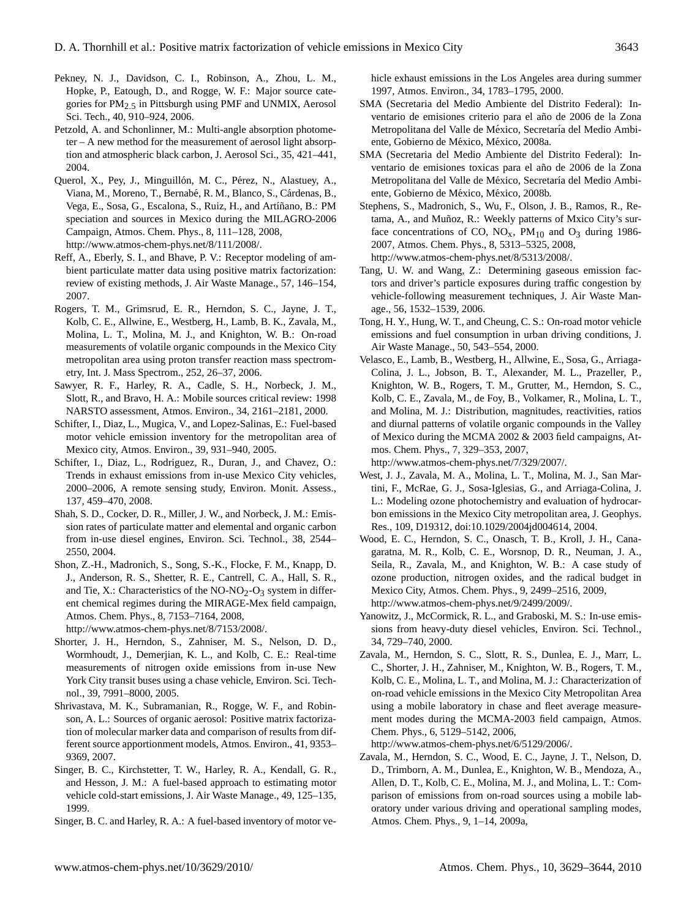- Pekney, N. J., Davidson, C. I., Robinson, A., Zhou, L. M., Hopke, P., Eatough, D., and Rogge, W. F.: Major source categories for  $PM_2$  5 in Pittsburgh using PMF and UNMIX, Aerosol Sci. Tech., 40, 910–924, 2006.
- Petzold, A. and Schonlinner, M.: Multi-angle absorption photometer – A new method for the measurement of aerosol light absorption and atmospheric black carbon, J. Aerosol Sci., 35, 421–441, 2004.
- Querol, X., Pey, J., Minguillón, M. C., Pérez, N., Alastuey, A., Viana, M., Moreno, T., Bernabé, R. M., Blanco, S., Cárdenas, B., Vega, E., Sosa, G., Escalona, S., Ruiz, H., and Artíñano, B.: PM speciation and sources in Mexico during the MILAGRO-2006 Campaign, Atmos. Chem. Phys., 8, 111–128, 2008, [http://www.atmos-chem-phys.net/8/111/2008/.](http://www.atmos-chem-phys.net/8/111/2008/)
- Reff, A., Eberly, S. I., and Bhave, P. V.: Receptor modeling of ambient particulate matter data using positive matrix factorization: review of existing methods, J. Air Waste Manage., 57, 146–154, 2007.
- Rogers, T. M., Grimsrud, E. R., Herndon, S. C., Jayne, J. T., Kolb, C. E., Allwine, E., Westberg, H., Lamb, B. K., Zavala, M., Molina, L. T., Molina, M. J., and Knighton, W. B.: On-road measurements of volatile organic compounds in the Mexico City metropolitan area using proton transfer reaction mass spectrometry, Int. J. Mass Spectrom., 252, 26–37, 2006.
- Sawyer, R. F., Harley, R. A., Cadle, S. H., Norbeck, J. M., Slott, R., and Bravo, H. A.: Mobile sources critical review: 1998 NARSTO assessment, Atmos. Environ., 34, 2161–2181, 2000.
- Schifter, I., Diaz, L., Mugica, V., and Lopez-Salinas, E.: Fuel-based motor vehicle emission inventory for the metropolitan area of Mexico city, Atmos. Environ., 39, 931–940, 2005.
- Schifter, I., Diaz, L., Rodriguez, R., Duran, J., and Chavez, O.: Trends in exhaust emissions from in-use Mexico City vehicles, 2000–2006, A remote sensing study, Environ. Monit. Assess., 137, 459–470, 2008.
- Shah, S. D., Cocker, D. R., Miller, J. W., and Norbeck, J. M.: Emission rates of particulate matter and elemental and organic carbon from in-use diesel engines, Environ. Sci. Technol., 38, 2544– 2550, 2004.
- Shon, Z.-H., Madronich, S., Song, S.-K., Flocke, F. M., Knapp, D. J., Anderson, R. S., Shetter, R. E., Cantrell, C. A., Hall, S. R., and Tie, X.: Characteristics of the  $NO-NO<sub>2</sub>-O<sub>3</sub>$  system in different chemical regimes during the MIRAGE-Mex field campaign, Atmos. Chem. Phys., 8, 7153–7164, 2008, [http://www.atmos-chem-phys.net/8/7153/2008/.](http://www.atmos-chem-phys.net/8/7153/2008/)
- Shorter, J. H., Herndon, S., Zahniser, M. S., Nelson, D. D., Wormhoudt, J., Demerjian, K. L., and Kolb, C. E.: Real-time measurements of nitrogen oxide emissions from in-use New York City transit buses using a chase vehicle, Environ. Sci. Technol., 39, 7991–8000, 2005.
- Shrivastava, M. K., Subramanian, R., Rogge, W. F., and Robinson, A. L.: Sources of organic aerosol: Positive matrix factorization of molecular marker data and comparison of results from different source apportionment models, Atmos. Environ., 41, 9353– 9369, 2007.
- Singer, B. C., Kirchstetter, T. W., Harley, R. A., Kendall, G. R., and Hesson, J. M.: A fuel-based approach to estimating motor vehicle cold-start emissions, J. Air Waste Manage., 49, 125–135, 1999.

Singer, B. C. and Harley, R. A.: A fuel-based inventory of motor ve-

hicle exhaust emissions in the Los Angeles area during summer 1997, Atmos. Environ., 34, 1783–1795, 2000.

- SMA (Secretaria del Medio Ambiente del Distrito Federal): Inventario de emisiones criterio para el año de 2006 de la Zona Metropolitana del Valle de México, Secretaría del Medio Ambiente, Gobierno de México, México, 2008a.
- SMA (Secretaria del Medio Ambiente del Distrito Federal): Inventario de emisiones toxicas para el año de 2006 de la Zona Metropolitana del Valle de México, Secretaría del Medio Ambiente, Gobierno de México, México, 2008b.
- Stephens, S., Madronich, S., Wu, F., Olson, J. B., Ramos, R., Retama, A., and Muñoz, R.: Weekly patterns of Mxico City's surface concentrations of CO,  $NO<sub>x</sub>$ ,  $PM<sub>10</sub>$  and  $O<sub>3</sub>$  during 1986-2007, Atmos. Chem. Phys., 8, 5313–5325, 2008, [http://www.atmos-chem-phys.net/8/5313/2008/.](http://www.atmos-chem-phys.net/8/5313/2008/)
- Tang, U. W. and Wang, Z.: Determining gaseous emission factors and driver's particle exposures during traffic congestion by vehicle-following measurement techniques, J. Air Waste Manage., 56, 1532–1539, 2006.
- Tong, H. Y., Hung, W. T., and Cheung, C. S.: On-road motor vehicle emissions and fuel consumption in urban driving conditions, J. Air Waste Manage., 50, 543–554, 2000.
- Velasco, E., Lamb, B., Westberg, H., Allwine, E., Sosa, G., Arriaga-Colina, J. L., Jobson, B. T., Alexander, M. L., Prazeller, P., Knighton, W. B., Rogers, T. M., Grutter, M., Herndon, S. C., Kolb, C. E., Zavala, M., de Foy, B., Volkamer, R., Molina, L. T., and Molina, M. J.: Distribution, magnitudes, reactivities, ratios and diurnal patterns of volatile organic compounds in the Valley of Mexico during the MCMA 2002 & 2003 field campaigns, Atmos. Chem. Phys., 7, 329–353, 2007,

[http://www.atmos-chem-phys.net/7/329/2007/.](http://www.atmos-chem-phys.net/7/329/2007/)

- West, J. J., Zavala, M. A., Molina, L. T., Molina, M. J., San Martini, F., McRae, G. J., Sosa-Iglesias, G., and Arriaga-Colina, J. L.: Modeling ozone photochemistry and evaluation of hydrocarbon emissions in the Mexico City metropolitan area, J. Geophys. Res., 109, D19312, doi:10.1029/2004jd004614, 2004.
- Wood, E. C., Herndon, S. C., Onasch, T. B., Kroll, J. H., Canagaratna, M. R., Kolb, C. E., Worsnop, D. R., Neuman, J. A., Seila, R., Zavala, M., and Knighton, W. B.: A case study of ozone production, nitrogen oxides, and the radical budget in Mexico City, Atmos. Chem. Phys., 9, 2499–2516, 2009, [http://www.atmos-chem-phys.net/9/2499/2009/.](http://www.atmos-chem-phys.net/9/2499/2009/)
- Yanowitz, J., McCormick, R. L., and Graboski, M. S.: In-use emissions from heavy-duty diesel vehicles, Environ. Sci. Technol., 34, 729–740, 2000.
- Zavala, M., Herndon, S. C., Slott, R. S., Dunlea, E. J., Marr, L. C., Shorter, J. H., Zahniser, M., Knighton, W. B., Rogers, T. M., Kolb, C. E., Molina, L. T., and Molina, M. J.: Characterization of on-road vehicle emissions in the Mexico City Metropolitan Area using a mobile laboratory in chase and fleet average measurement modes during the MCMA-2003 field campaign, Atmos. Chem. Phys., 6, 5129–5142, 2006,

[http://www.atmos-chem-phys.net/6/5129/2006/.](http://www.atmos-chem-phys.net/6/5129/2006/)

Zavala, M., Herndon, S. C., Wood, E. C., Jayne, J. T., Nelson, D. D., Trimborn, A. M., Dunlea, E., Knighton, W. B., Mendoza, A., Allen, D. T., Kolb, C. E., Molina, M. J., and Molina, L. T.: Comparison of emissions from on-road sources using a mobile laboratory under various driving and operational sampling modes, Atmos. Chem. Phys., 9, 1–14, 2009a,